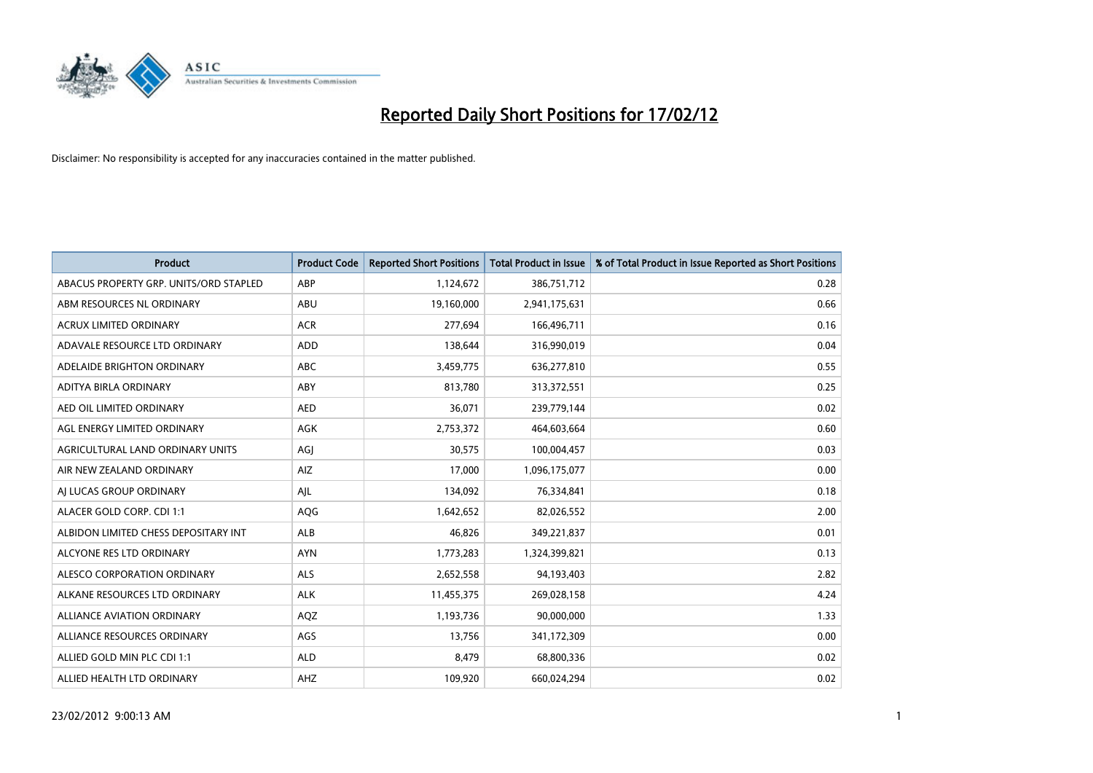

| <b>Product</b>                         | <b>Product Code</b> | <b>Reported Short Positions</b> | <b>Total Product in Issue</b> | % of Total Product in Issue Reported as Short Positions |
|----------------------------------------|---------------------|---------------------------------|-------------------------------|---------------------------------------------------------|
| ABACUS PROPERTY GRP. UNITS/ORD STAPLED | ABP                 | 1,124,672                       | 386,751,712                   | 0.28                                                    |
| ABM RESOURCES NL ORDINARY              | ABU                 | 19,160,000                      | 2,941,175,631                 | 0.66                                                    |
| <b>ACRUX LIMITED ORDINARY</b>          | <b>ACR</b>          | 277,694                         | 166,496,711                   | 0.16                                                    |
| ADAVALE RESOURCE LTD ORDINARY          | <b>ADD</b>          | 138,644                         | 316,990,019                   | 0.04                                                    |
| ADELAIDE BRIGHTON ORDINARY             | <b>ABC</b>          | 3,459,775                       | 636,277,810                   | 0.55                                                    |
| ADITYA BIRLA ORDINARY                  | ABY                 | 813,780                         | 313,372,551                   | 0.25                                                    |
| AED OIL LIMITED ORDINARY               | <b>AED</b>          | 36,071                          | 239,779,144                   | 0.02                                                    |
| AGL ENERGY LIMITED ORDINARY            | AGK                 | 2,753,372                       | 464,603,664                   | 0.60                                                    |
| AGRICULTURAL LAND ORDINARY UNITS       | AGJ                 | 30,575                          | 100,004,457                   | 0.03                                                    |
| AIR NEW ZEALAND ORDINARY               | AIZ                 | 17,000                          | 1,096,175,077                 | 0.00                                                    |
| AJ LUCAS GROUP ORDINARY                | AJL                 | 134,092                         | 76,334,841                    | 0.18                                                    |
| ALACER GOLD CORP. CDI 1:1              | AQG                 | 1,642,652                       | 82,026,552                    | 2.00                                                    |
| ALBIDON LIMITED CHESS DEPOSITARY INT   | ALB                 | 46,826                          | 349,221,837                   | 0.01                                                    |
| ALCYONE RES LTD ORDINARY               | <b>AYN</b>          | 1,773,283                       | 1,324,399,821                 | 0.13                                                    |
| ALESCO CORPORATION ORDINARY            | ALS                 | 2,652,558                       | 94,193,403                    | 2.82                                                    |
| ALKANE RESOURCES LTD ORDINARY          | <b>ALK</b>          | 11,455,375                      | 269,028,158                   | 4.24                                                    |
| ALLIANCE AVIATION ORDINARY             | AQZ                 | 1,193,736                       | 90,000,000                    | 1.33                                                    |
| ALLIANCE RESOURCES ORDINARY            | AGS                 | 13,756                          | 341,172,309                   | 0.00                                                    |
| ALLIED GOLD MIN PLC CDI 1:1            | <b>ALD</b>          | 8,479                           | 68,800,336                    | 0.02                                                    |
| ALLIED HEALTH LTD ORDINARY             | AHZ                 | 109,920                         | 660,024,294                   | 0.02                                                    |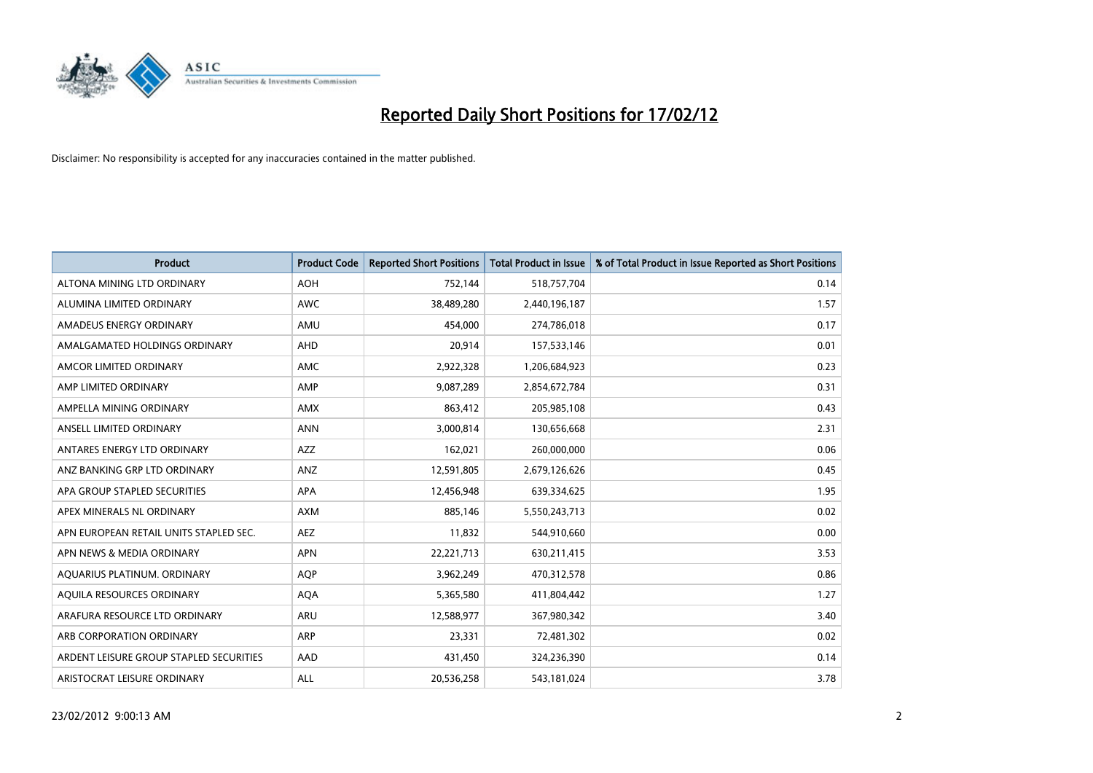

| <b>Product</b>                          | <b>Product Code</b> | <b>Reported Short Positions</b> | <b>Total Product in Issue</b> | % of Total Product in Issue Reported as Short Positions |
|-----------------------------------------|---------------------|---------------------------------|-------------------------------|---------------------------------------------------------|
| ALTONA MINING LTD ORDINARY              | <b>AOH</b>          | 752,144                         | 518,757,704                   | 0.14                                                    |
| ALUMINA LIMITED ORDINARY                | AWC                 | 38,489,280                      | 2,440,196,187                 | 1.57                                                    |
| AMADEUS ENERGY ORDINARY                 | AMU                 | 454,000                         | 274,786,018                   | 0.17                                                    |
| AMALGAMATED HOLDINGS ORDINARY           | AHD                 | 20,914                          | 157,533,146                   | 0.01                                                    |
| AMCOR LIMITED ORDINARY                  | AMC                 | 2,922,328                       | 1,206,684,923                 | 0.23                                                    |
| AMP LIMITED ORDINARY                    | AMP                 | 9,087,289                       | 2,854,672,784                 | 0.31                                                    |
| AMPELLA MINING ORDINARY                 | AMX                 | 863,412                         | 205,985,108                   | 0.43                                                    |
| ANSELL LIMITED ORDINARY                 | <b>ANN</b>          | 3,000,814                       | 130,656,668                   | 2.31                                                    |
| ANTARES ENERGY LTD ORDINARY             | <b>AZZ</b>          | 162,021                         | 260,000,000                   | 0.06                                                    |
| ANZ BANKING GRP LTD ORDINARY            | ANZ                 | 12,591,805                      | 2,679,126,626                 | 0.45                                                    |
| APA GROUP STAPLED SECURITIES            | APA                 | 12,456,948                      | 639,334,625                   | 1.95                                                    |
| APEX MINERALS NL ORDINARY               | <b>AXM</b>          | 885,146                         | 5,550,243,713                 | 0.02                                                    |
| APN EUROPEAN RETAIL UNITS STAPLED SEC.  | AEZ                 | 11,832                          | 544,910,660                   | 0.00                                                    |
| APN NEWS & MEDIA ORDINARY               | <b>APN</b>          | 22,221,713                      | 630,211,415                   | 3.53                                                    |
| AQUARIUS PLATINUM. ORDINARY             | AQP                 | 3,962,249                       | 470,312,578                   | 0.86                                                    |
| AQUILA RESOURCES ORDINARY               | <b>AQA</b>          | 5,365,580                       | 411,804,442                   | 1.27                                                    |
| ARAFURA RESOURCE LTD ORDINARY           | ARU                 | 12,588,977                      | 367,980,342                   | 3.40                                                    |
| ARB CORPORATION ORDINARY                | ARP                 | 23,331                          | 72,481,302                    | 0.02                                                    |
| ARDENT LEISURE GROUP STAPLED SECURITIES | AAD                 | 431,450                         | 324,236,390                   | 0.14                                                    |
| ARISTOCRAT LEISURE ORDINARY             | ALL                 | 20,536,258                      | 543,181,024                   | 3.78                                                    |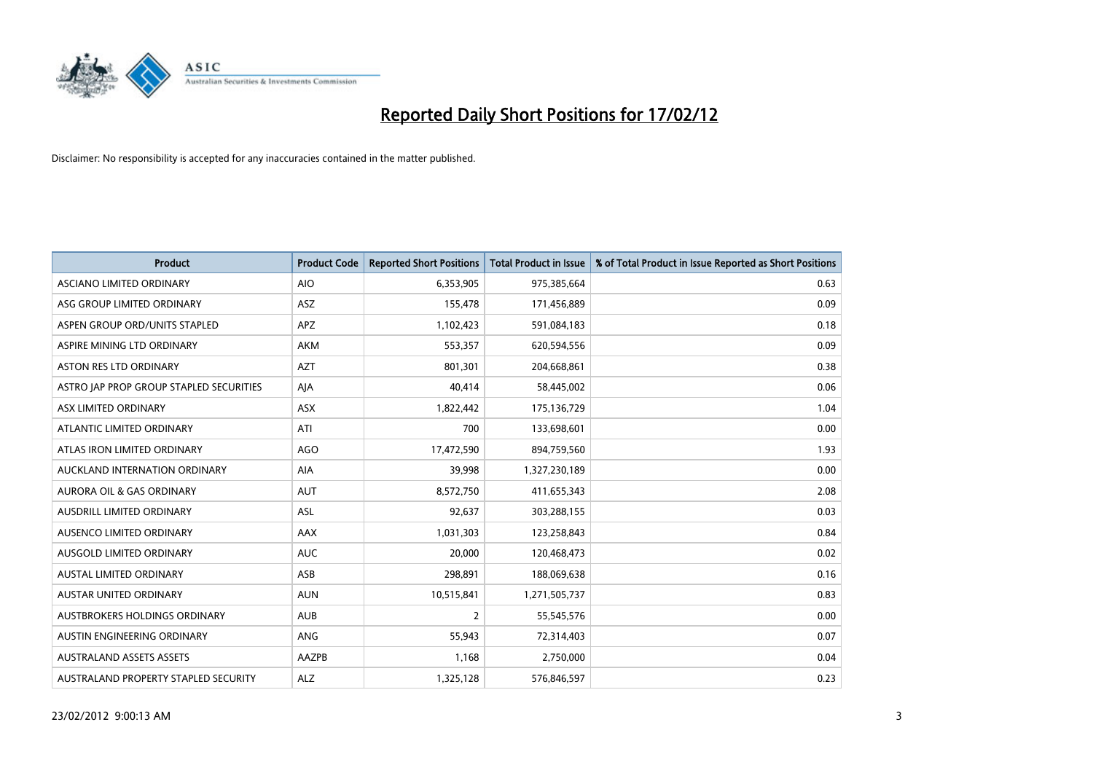

| <b>Product</b>                          | <b>Product Code</b> | <b>Reported Short Positions</b> | <b>Total Product in Issue</b> | % of Total Product in Issue Reported as Short Positions |
|-----------------------------------------|---------------------|---------------------------------|-------------------------------|---------------------------------------------------------|
| ASCIANO LIMITED ORDINARY                | <b>AIO</b>          | 6,353,905                       | 975,385,664                   | 0.63                                                    |
| ASG GROUP LIMITED ORDINARY              | ASZ                 | 155,478                         | 171,456,889                   | 0.09                                                    |
| ASPEN GROUP ORD/UNITS STAPLED           | <b>APZ</b>          | 1,102,423                       | 591,084,183                   | 0.18                                                    |
| ASPIRE MINING LTD ORDINARY              | <b>AKM</b>          | 553,357                         | 620,594,556                   | 0.09                                                    |
| <b>ASTON RES LTD ORDINARY</b>           | <b>AZT</b>          | 801,301                         | 204,668,861                   | 0.38                                                    |
| ASTRO JAP PROP GROUP STAPLED SECURITIES | AJA                 | 40,414                          | 58,445,002                    | 0.06                                                    |
| ASX LIMITED ORDINARY                    | ASX                 | 1,822,442                       | 175,136,729                   | 1.04                                                    |
| ATLANTIC LIMITED ORDINARY               | ATI                 | 700                             | 133,698,601                   | 0.00                                                    |
| ATLAS IRON LIMITED ORDINARY             | <b>AGO</b>          | 17,472,590                      | 894,759,560                   | 1.93                                                    |
| AUCKLAND INTERNATION ORDINARY           | AIA                 | 39,998                          | 1,327,230,189                 | 0.00                                                    |
| AURORA OIL & GAS ORDINARY               | <b>AUT</b>          | 8,572,750                       | 411,655,343                   | 2.08                                                    |
| AUSDRILL LIMITED ORDINARY               | <b>ASL</b>          | 92,637                          | 303,288,155                   | 0.03                                                    |
| AUSENCO LIMITED ORDINARY                | AAX                 | 1,031,303                       | 123,258,843                   | 0.84                                                    |
| AUSGOLD LIMITED ORDINARY                | <b>AUC</b>          | 20,000                          | 120,468,473                   | 0.02                                                    |
| AUSTAL LIMITED ORDINARY                 | ASB                 | 298,891                         | 188,069,638                   | 0.16                                                    |
| AUSTAR UNITED ORDINARY                  | <b>AUN</b>          | 10,515,841                      | 1,271,505,737                 | 0.83                                                    |
| AUSTBROKERS HOLDINGS ORDINARY           | <b>AUB</b>          | $\overline{2}$                  | 55,545,576                    | 0.00                                                    |
| AUSTIN ENGINEERING ORDINARY             | ANG                 | 55,943                          | 72,314,403                    | 0.07                                                    |
| <b>AUSTRALAND ASSETS ASSETS</b>         | AAZPB               | 1,168                           | 2,750,000                     | 0.04                                                    |
| AUSTRALAND PROPERTY STAPLED SECURITY    | <b>ALZ</b>          | 1,325,128                       | 576,846,597                   | 0.23                                                    |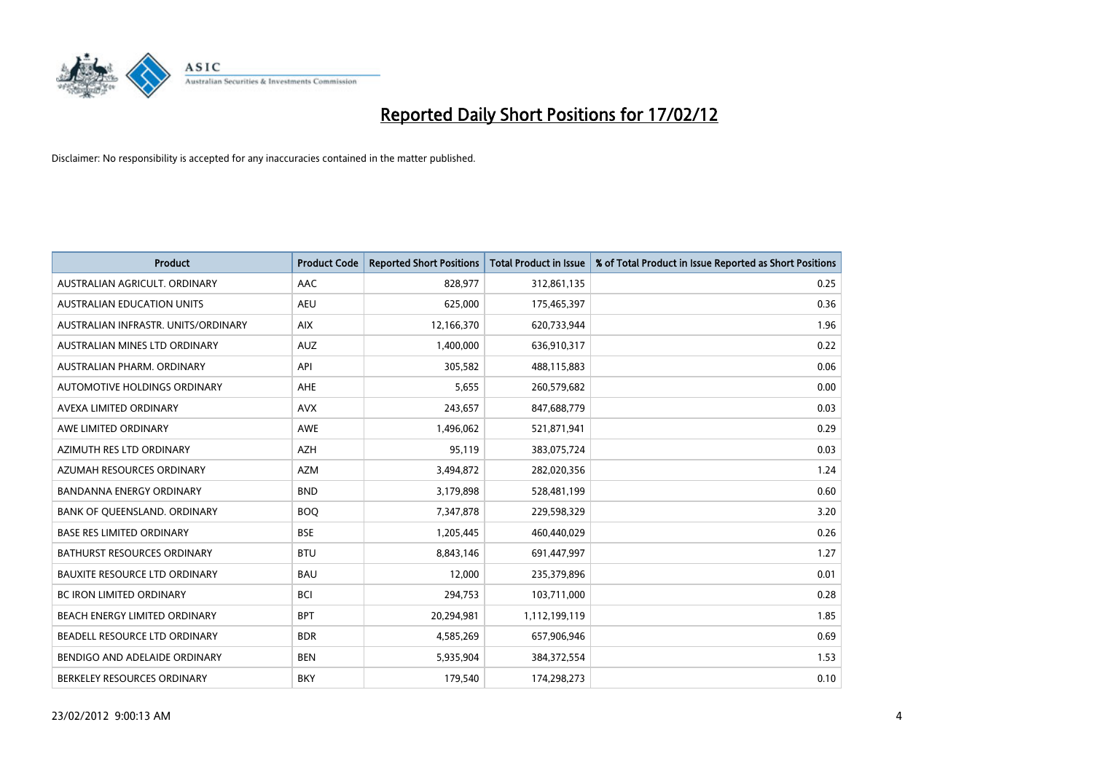

| <b>Product</b>                       | <b>Product Code</b> | <b>Reported Short Positions</b> | <b>Total Product in Issue</b> | % of Total Product in Issue Reported as Short Positions |
|--------------------------------------|---------------------|---------------------------------|-------------------------------|---------------------------------------------------------|
| AUSTRALIAN AGRICULT, ORDINARY        | AAC                 | 828,977                         | 312,861,135                   | 0.25                                                    |
| AUSTRALIAN EDUCATION UNITS           | <b>AEU</b>          | 625,000                         | 175,465,397                   | 0.36                                                    |
| AUSTRALIAN INFRASTR, UNITS/ORDINARY  | <b>AIX</b>          | 12,166,370                      | 620,733,944                   | 1.96                                                    |
| AUSTRALIAN MINES LTD ORDINARY        | <b>AUZ</b>          | 1,400,000                       | 636,910,317                   | 0.22                                                    |
| AUSTRALIAN PHARM, ORDINARY           | API                 | 305,582                         | 488,115,883                   | 0.06                                                    |
| AUTOMOTIVE HOLDINGS ORDINARY         | AHE                 | 5,655                           | 260,579,682                   | 0.00                                                    |
| AVEXA LIMITED ORDINARY               | <b>AVX</b>          | 243,657                         | 847,688,779                   | 0.03                                                    |
| AWE LIMITED ORDINARY                 | AWE                 | 1,496,062                       | 521,871,941                   | 0.29                                                    |
| AZIMUTH RES LTD ORDINARY             | <b>AZH</b>          | 95,119                          | 383,075,724                   | 0.03                                                    |
| AZUMAH RESOURCES ORDINARY            | <b>AZM</b>          | 3,494,872                       | 282,020,356                   | 1.24                                                    |
| BANDANNA ENERGY ORDINARY             | <b>BND</b>          | 3,179,898                       | 528,481,199                   | 0.60                                                    |
| BANK OF QUEENSLAND. ORDINARY         | <b>BOQ</b>          | 7,347,878                       | 229,598,329                   | 3.20                                                    |
| <b>BASE RES LIMITED ORDINARY</b>     | <b>BSE</b>          | 1,205,445                       | 460,440,029                   | 0.26                                                    |
| <b>BATHURST RESOURCES ORDINARY</b>   | <b>BTU</b>          | 8,843,146                       | 691,447,997                   | 1.27                                                    |
| <b>BAUXITE RESOURCE LTD ORDINARY</b> | <b>BAU</b>          | 12,000                          | 235,379,896                   | 0.01                                                    |
| BC IRON LIMITED ORDINARY             | <b>BCI</b>          | 294,753                         | 103,711,000                   | 0.28                                                    |
| BEACH ENERGY LIMITED ORDINARY        | <b>BPT</b>          | 20,294,981                      | 1,112,199,119                 | 1.85                                                    |
| BEADELL RESOURCE LTD ORDINARY        | <b>BDR</b>          | 4,585,269                       | 657,906,946                   | 0.69                                                    |
| BENDIGO AND ADELAIDE ORDINARY        | <b>BEN</b>          | 5,935,904                       | 384, 372, 554                 | 1.53                                                    |
| BERKELEY RESOURCES ORDINARY          | <b>BKY</b>          | 179,540                         | 174,298,273                   | 0.10                                                    |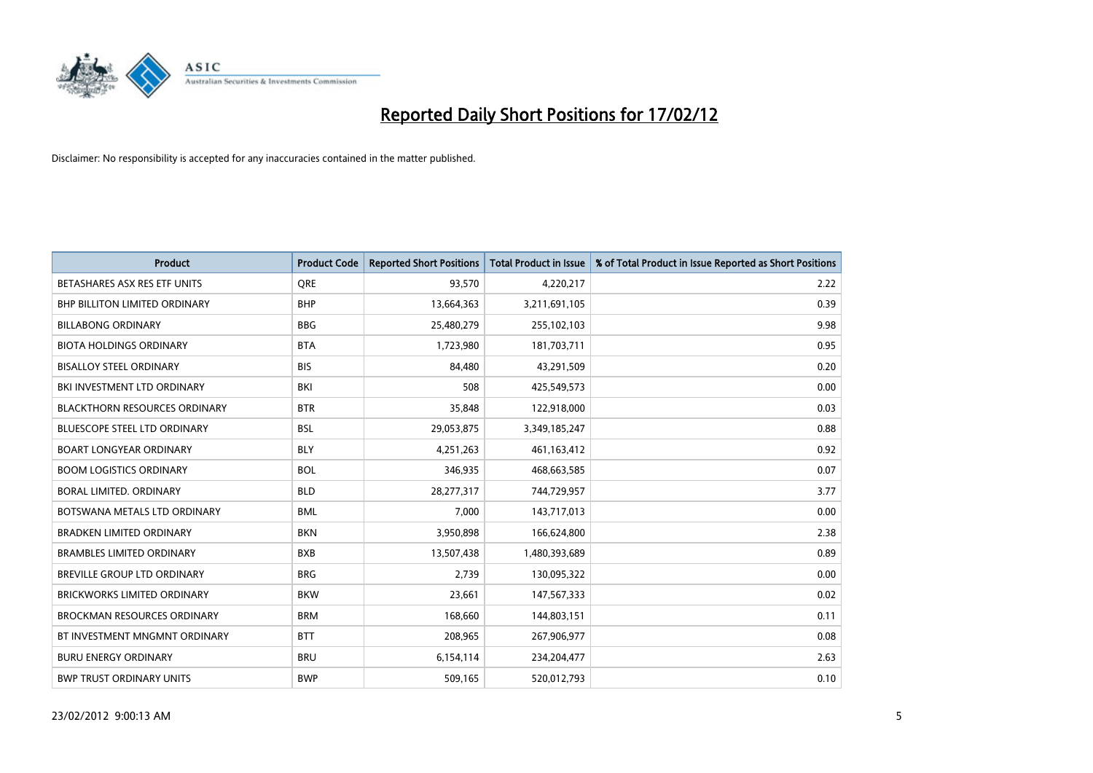

| <b>Product</b>                       | <b>Product Code</b> | <b>Reported Short Positions</b> | <b>Total Product in Issue</b> | % of Total Product in Issue Reported as Short Positions |
|--------------------------------------|---------------------|---------------------------------|-------------------------------|---------------------------------------------------------|
| BETASHARES ASX RES ETF UNITS         | <b>ORE</b>          | 93,570                          | 4,220,217                     | 2.22                                                    |
| <b>BHP BILLITON LIMITED ORDINARY</b> | <b>BHP</b>          | 13,664,363                      | 3,211,691,105                 | 0.39                                                    |
| <b>BILLABONG ORDINARY</b>            | <b>BBG</b>          | 25,480,279                      | 255,102,103                   | 9.98                                                    |
| <b>BIOTA HOLDINGS ORDINARY</b>       | <b>BTA</b>          | 1,723,980                       | 181,703,711                   | 0.95                                                    |
| <b>BISALLOY STEEL ORDINARY</b>       | <b>BIS</b>          | 84,480                          | 43,291,509                    | 0.20                                                    |
| BKI INVESTMENT LTD ORDINARY          | BKI                 | 508                             | 425,549,573                   | 0.00                                                    |
| <b>BLACKTHORN RESOURCES ORDINARY</b> | <b>BTR</b>          | 35,848                          | 122,918,000                   | 0.03                                                    |
| BLUESCOPE STEEL LTD ORDINARY         | <b>BSL</b>          | 29,053,875                      | 3,349,185,247                 | 0.88                                                    |
| <b>BOART LONGYEAR ORDINARY</b>       | <b>BLY</b>          | 4,251,263                       | 461,163,412                   | 0.92                                                    |
| <b>BOOM LOGISTICS ORDINARY</b>       | <b>BOL</b>          | 346,935                         | 468,663,585                   | 0.07                                                    |
| BORAL LIMITED. ORDINARY              | <b>BLD</b>          | 28,277,317                      | 744,729,957                   | 3.77                                                    |
| BOTSWANA METALS LTD ORDINARY         | <b>BML</b>          | 7,000                           | 143,717,013                   | 0.00                                                    |
| <b>BRADKEN LIMITED ORDINARY</b>      | <b>BKN</b>          | 3,950,898                       | 166,624,800                   | 2.38                                                    |
| <b>BRAMBLES LIMITED ORDINARY</b>     | <b>BXB</b>          | 13,507,438                      | 1,480,393,689                 | 0.89                                                    |
| BREVILLE GROUP LTD ORDINARY          | <b>BRG</b>          | 2,739                           | 130,095,322                   | 0.00                                                    |
| BRICKWORKS LIMITED ORDINARY          | <b>BKW</b>          | 23,661                          | 147,567,333                   | 0.02                                                    |
| <b>BROCKMAN RESOURCES ORDINARY</b>   | <b>BRM</b>          | 168,660                         | 144,803,151                   | 0.11                                                    |
| BT INVESTMENT MNGMNT ORDINARY        | <b>BTT</b>          | 208,965                         | 267,906,977                   | 0.08                                                    |
| <b>BURU ENERGY ORDINARY</b>          | <b>BRU</b>          | 6,154,114                       | 234,204,477                   | 2.63                                                    |
| <b>BWP TRUST ORDINARY UNITS</b>      | <b>BWP</b>          | 509,165                         | 520,012,793                   | 0.10                                                    |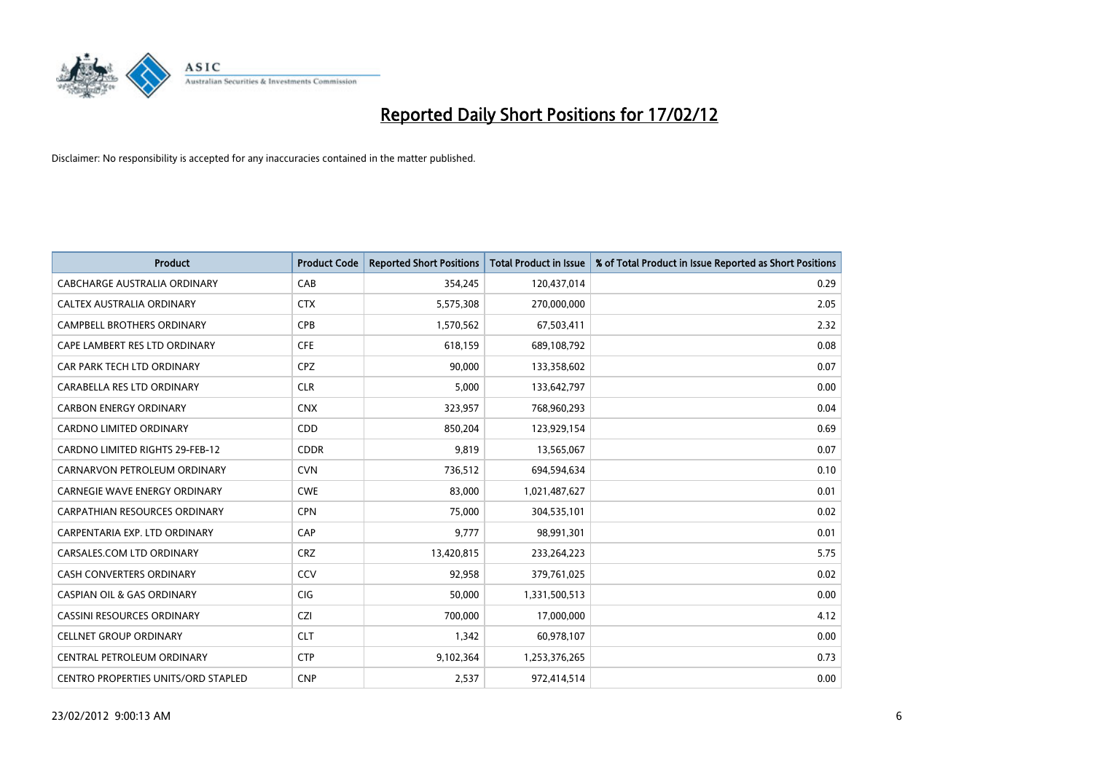

| <b>Product</b>                         | <b>Product Code</b> | <b>Reported Short Positions</b> | <b>Total Product in Issue</b> | % of Total Product in Issue Reported as Short Positions |
|----------------------------------------|---------------------|---------------------------------|-------------------------------|---------------------------------------------------------|
| <b>CABCHARGE AUSTRALIA ORDINARY</b>    | CAB                 | 354,245                         | 120,437,014                   | 0.29                                                    |
| CALTEX AUSTRALIA ORDINARY              | <b>CTX</b>          | 5,575,308                       | 270,000,000                   | 2.05                                                    |
| <b>CAMPBELL BROTHERS ORDINARY</b>      | <b>CPB</b>          | 1,570,562                       | 67,503,411                    | 2.32                                                    |
| CAPE LAMBERT RES LTD ORDINARY          | <b>CFE</b>          | 618,159                         | 689,108,792                   | 0.08                                                    |
| CAR PARK TECH LTD ORDINARY             | <b>CPZ</b>          | 90,000                          | 133,358,602                   | 0.07                                                    |
| CARABELLA RES LTD ORDINARY             | <b>CLR</b>          | 5,000                           | 133,642,797                   | 0.00                                                    |
| <b>CARBON ENERGY ORDINARY</b>          | <b>CNX</b>          | 323,957                         | 768,960,293                   | 0.04                                                    |
| CARDNO LIMITED ORDINARY                | CDD                 | 850,204                         | 123,929,154                   | 0.69                                                    |
| <b>CARDNO LIMITED RIGHTS 29-FEB-12</b> | <b>CDDR</b>         | 9,819                           | 13,565,067                    | 0.07                                                    |
| CARNARVON PETROLEUM ORDINARY           | <b>CVN</b>          | 736,512                         | 694,594,634                   | 0.10                                                    |
| CARNEGIE WAVE ENERGY ORDINARY          | <b>CWE</b>          | 83,000                          | 1,021,487,627                 | 0.01                                                    |
| <b>CARPATHIAN RESOURCES ORDINARY</b>   | <b>CPN</b>          | 75,000                          | 304,535,101                   | 0.02                                                    |
| CARPENTARIA EXP. LTD ORDINARY          | CAP                 | 9,777                           | 98,991,301                    | 0.01                                                    |
| CARSALES.COM LTD ORDINARY              | <b>CRZ</b>          | 13,420,815                      | 233,264,223                   | 5.75                                                    |
| <b>CASH CONVERTERS ORDINARY</b>        | CCV                 | 92,958                          | 379,761,025                   | 0.02                                                    |
| <b>CASPIAN OIL &amp; GAS ORDINARY</b>  | <b>CIG</b>          | 50,000                          | 1,331,500,513                 | 0.00                                                    |
| <b>CASSINI RESOURCES ORDINARY</b>      | CZI                 | 700,000                         | 17,000,000                    | 4.12                                                    |
| <b>CELLNET GROUP ORDINARY</b>          | <b>CLT</b>          | 1,342                           | 60,978,107                    | 0.00                                                    |
| CENTRAL PETROLEUM ORDINARY             | <b>CTP</b>          | 9,102,364                       | 1,253,376,265                 | 0.73                                                    |
| CENTRO PROPERTIES UNITS/ORD STAPLED    | <b>CNP</b>          | 2,537                           | 972,414,514                   | 0.00                                                    |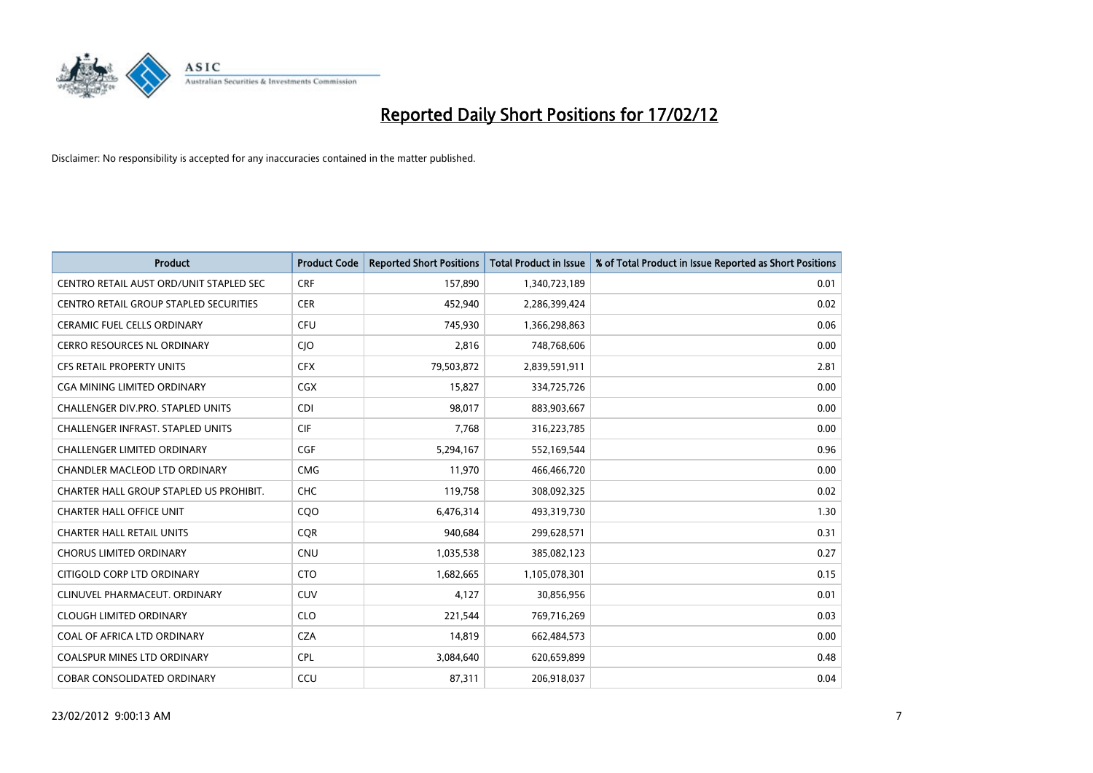

| <b>Product</b>                           | <b>Product Code</b> | <b>Reported Short Positions</b> | <b>Total Product in Issue</b> | % of Total Product in Issue Reported as Short Positions |
|------------------------------------------|---------------------|---------------------------------|-------------------------------|---------------------------------------------------------|
| CENTRO RETAIL AUST ORD/UNIT STAPLED SEC  | <b>CRF</b>          | 157,890                         | 1,340,723,189                 | 0.01                                                    |
| CENTRO RETAIL GROUP STAPLED SECURITIES   | <b>CER</b>          | 452,940                         | 2,286,399,424                 | 0.02                                                    |
| <b>CERAMIC FUEL CELLS ORDINARY</b>       | <b>CFU</b>          | 745,930                         | 1,366,298,863                 | 0.06                                                    |
| <b>CERRO RESOURCES NL ORDINARY</b>       | <b>CIO</b>          | 2,816                           | 748,768,606                   | 0.00                                                    |
| <b>CFS RETAIL PROPERTY UNITS</b>         | <b>CFX</b>          | 79,503,872                      | 2,839,591,911                 | 2.81                                                    |
| <b>CGA MINING LIMITED ORDINARY</b>       | CGX                 | 15,827                          | 334,725,726                   | 0.00                                                    |
| <b>CHALLENGER DIV.PRO. STAPLED UNITS</b> | <b>CDI</b>          | 98,017                          | 883,903,667                   | 0.00                                                    |
| <b>CHALLENGER INFRAST, STAPLED UNITS</b> | <b>CIF</b>          | 7,768                           | 316,223,785                   | 0.00                                                    |
| <b>CHALLENGER LIMITED ORDINARY</b>       | <b>CGF</b>          | 5,294,167                       | 552,169,544                   | 0.96                                                    |
| <b>CHANDLER MACLEOD LTD ORDINARY</b>     | <b>CMG</b>          | 11,970                          | 466,466,720                   | 0.00                                                    |
| CHARTER HALL GROUP STAPLED US PROHIBIT.  | <b>CHC</b>          | 119,758                         | 308,092,325                   | 0.02                                                    |
| <b>CHARTER HALL OFFICE UNIT</b>          | C <sub>O</sub> O    | 6,476,314                       | 493,319,730                   | 1.30                                                    |
| <b>CHARTER HALL RETAIL UNITS</b>         | <b>CQR</b>          | 940,684                         | 299,628,571                   | 0.31                                                    |
| <b>CHORUS LIMITED ORDINARY</b>           | <b>CNU</b>          | 1,035,538                       | 385,082,123                   | 0.27                                                    |
| CITIGOLD CORP LTD ORDINARY               | <b>CTO</b>          | 1,682,665                       | 1,105,078,301                 | 0.15                                                    |
| CLINUVEL PHARMACEUT, ORDINARY            | <b>CUV</b>          | 4,127                           | 30,856,956                    | 0.01                                                    |
| <b>CLOUGH LIMITED ORDINARY</b>           | <b>CLO</b>          | 221,544                         | 769,716,269                   | 0.03                                                    |
| COAL OF AFRICA LTD ORDINARY              | <b>CZA</b>          | 14,819                          | 662,484,573                   | 0.00                                                    |
| <b>COALSPUR MINES LTD ORDINARY</b>       | <b>CPL</b>          | 3,084,640                       | 620,659,899                   | 0.48                                                    |
| <b>COBAR CONSOLIDATED ORDINARY</b>       | CCU                 | 87,311                          | 206,918,037                   | 0.04                                                    |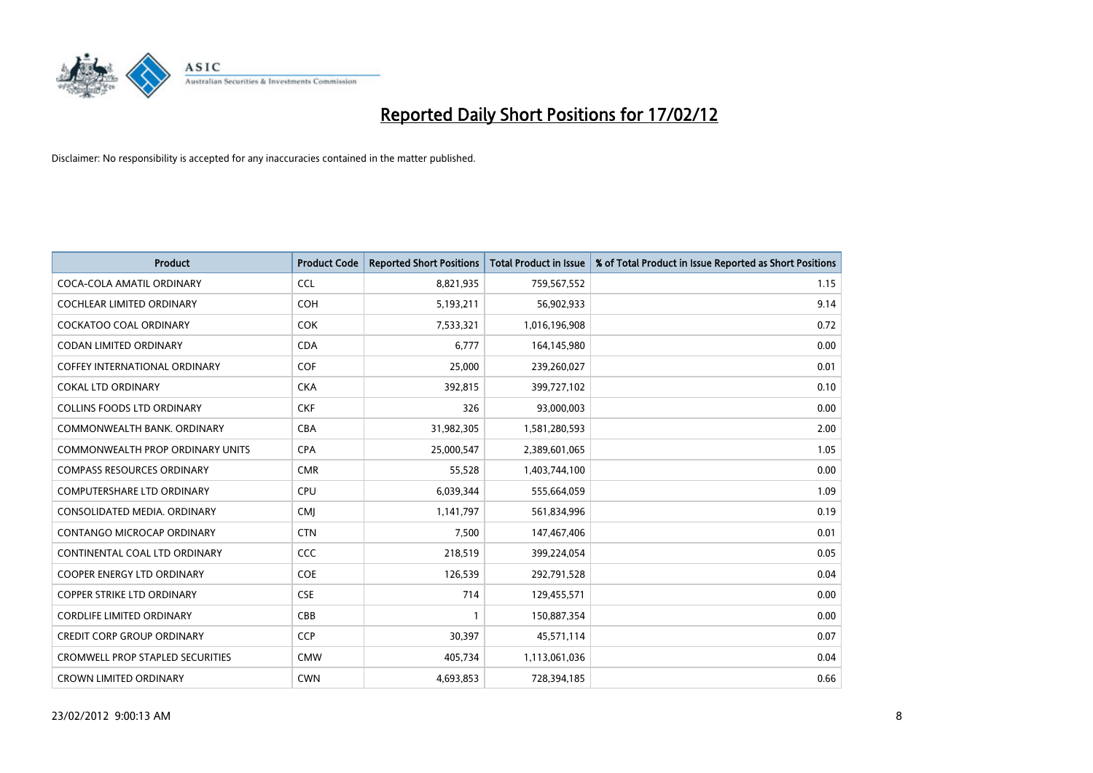

| <b>Product</b>                          | <b>Product Code</b> | <b>Reported Short Positions</b> | <b>Total Product in Issue</b> | % of Total Product in Issue Reported as Short Positions |
|-----------------------------------------|---------------------|---------------------------------|-------------------------------|---------------------------------------------------------|
| COCA-COLA AMATIL ORDINARY               | <b>CCL</b>          | 8,821,935                       | 759,567,552                   | 1.15                                                    |
| COCHLEAR LIMITED ORDINARY               | <b>COH</b>          | 5,193,211                       | 56,902,933                    | 9.14                                                    |
| <b>COCKATOO COAL ORDINARY</b>           | COK                 | 7,533,321                       | 1,016,196,908                 | 0.72                                                    |
| CODAN LIMITED ORDINARY                  | <b>CDA</b>          | 6,777                           | 164,145,980                   | 0.00                                                    |
| <b>COFFEY INTERNATIONAL ORDINARY</b>    | <b>COF</b>          | 25,000                          | 239,260,027                   | 0.01                                                    |
| <b>COKAL LTD ORDINARY</b>               | <b>CKA</b>          | 392,815                         | 399,727,102                   | 0.10                                                    |
| <b>COLLINS FOODS LTD ORDINARY</b>       | <b>CKF</b>          | 326                             | 93,000,003                    | 0.00                                                    |
| COMMONWEALTH BANK, ORDINARY             | <b>CBA</b>          | 31,982,305                      | 1,581,280,593                 | 2.00                                                    |
| <b>COMMONWEALTH PROP ORDINARY UNITS</b> | <b>CPA</b>          | 25,000,547                      | 2,389,601,065                 | 1.05                                                    |
| <b>COMPASS RESOURCES ORDINARY</b>       | <b>CMR</b>          | 55,528                          | 1,403,744,100                 | 0.00                                                    |
| COMPUTERSHARE LTD ORDINARY              | <b>CPU</b>          | 6,039,344                       | 555,664,059                   | 1.09                                                    |
| CONSOLIDATED MEDIA, ORDINARY            | <b>CMJ</b>          | 1,141,797                       | 561,834,996                   | 0.19                                                    |
| CONTANGO MICROCAP ORDINARY              | <b>CTN</b>          | 7,500                           | 147,467,406                   | 0.01                                                    |
| CONTINENTAL COAL LTD ORDINARY           | <b>CCC</b>          | 218,519                         | 399,224,054                   | 0.05                                                    |
| <b>COOPER ENERGY LTD ORDINARY</b>       | <b>COE</b>          | 126,539                         | 292,791,528                   | 0.04                                                    |
| <b>COPPER STRIKE LTD ORDINARY</b>       | <b>CSE</b>          | 714                             | 129,455,571                   | 0.00                                                    |
| <b>CORDLIFE LIMITED ORDINARY</b>        | CBB                 | $\mathbf{1}$                    | 150,887,354                   | 0.00                                                    |
| <b>CREDIT CORP GROUP ORDINARY</b>       | <b>CCP</b>          | 30,397                          | 45,571,114                    | 0.07                                                    |
| <b>CROMWELL PROP STAPLED SECURITIES</b> | <b>CMW</b>          | 405,734                         | 1,113,061,036                 | 0.04                                                    |
| <b>CROWN LIMITED ORDINARY</b>           | <b>CWN</b>          | 4,693,853                       | 728,394,185                   | 0.66                                                    |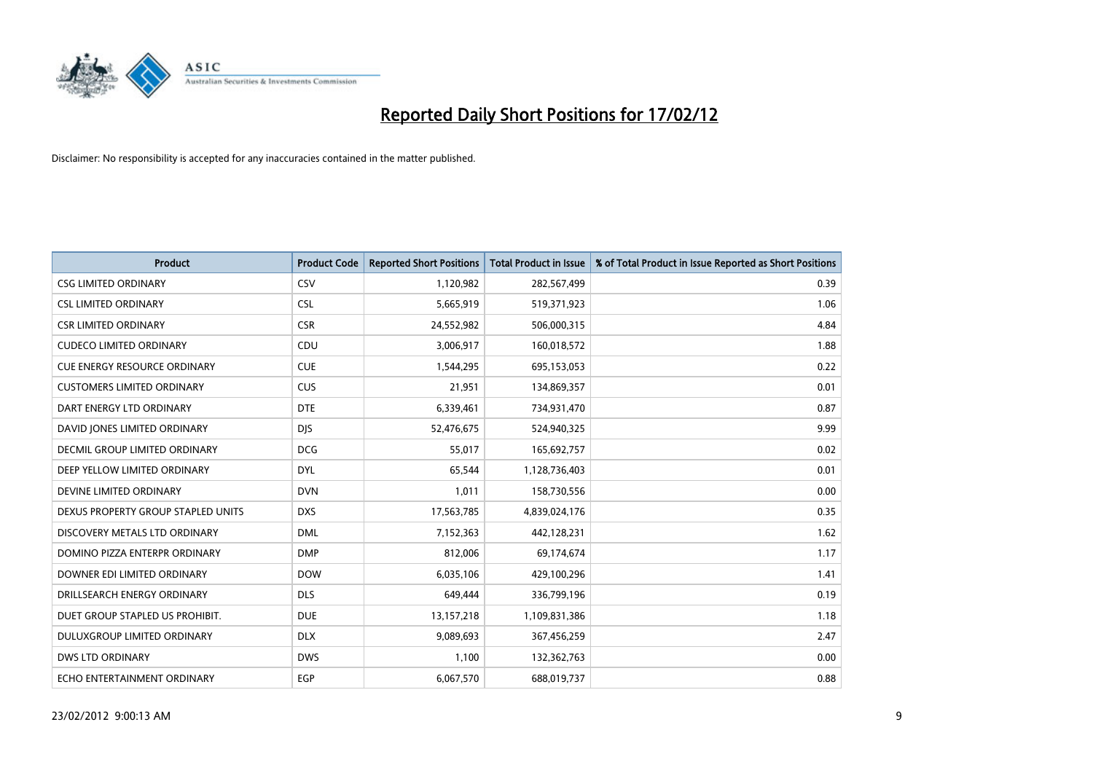

| <b>Product</b>                      | <b>Product Code</b> | <b>Reported Short Positions</b> | <b>Total Product in Issue</b> | % of Total Product in Issue Reported as Short Positions |
|-------------------------------------|---------------------|---------------------------------|-------------------------------|---------------------------------------------------------|
| <b>CSG LIMITED ORDINARY</b>         | CSV                 | 1,120,982                       | 282,567,499                   | 0.39                                                    |
| <b>CSL LIMITED ORDINARY</b>         | <b>CSL</b>          | 5,665,919                       | 519,371,923                   | 1.06                                                    |
| <b>CSR LIMITED ORDINARY</b>         | <b>CSR</b>          | 24,552,982                      | 506,000,315                   | 4.84                                                    |
| <b>CUDECO LIMITED ORDINARY</b>      | CDU                 | 3,006,917                       | 160,018,572                   | 1.88                                                    |
| <b>CUE ENERGY RESOURCE ORDINARY</b> | <b>CUE</b>          | 1,544,295                       | 695,153,053                   | 0.22                                                    |
| <b>CUSTOMERS LIMITED ORDINARY</b>   | <b>CUS</b>          | 21,951                          | 134,869,357                   | 0.01                                                    |
| DART ENERGY LTD ORDINARY            | <b>DTE</b>          | 6,339,461                       | 734,931,470                   | 0.87                                                    |
| DAVID JONES LIMITED ORDINARY        | <b>DJS</b>          | 52,476,675                      | 524,940,325                   | 9.99                                                    |
| DECMIL GROUP LIMITED ORDINARY       | <b>DCG</b>          | 55,017                          | 165,692,757                   | 0.02                                                    |
| DEEP YELLOW LIMITED ORDINARY        | <b>DYL</b>          | 65,544                          | 1,128,736,403                 | 0.01                                                    |
| DEVINE LIMITED ORDINARY             | <b>DVN</b>          | 1,011                           | 158,730,556                   | 0.00                                                    |
| DEXUS PROPERTY GROUP STAPLED UNITS  | <b>DXS</b>          | 17,563,785                      | 4,839,024,176                 | 0.35                                                    |
| DISCOVERY METALS LTD ORDINARY       | <b>DML</b>          | 7,152,363                       | 442,128,231                   | 1.62                                                    |
| DOMINO PIZZA ENTERPR ORDINARY       | <b>DMP</b>          | 812,006                         | 69,174,674                    | 1.17                                                    |
| DOWNER EDI LIMITED ORDINARY         | <b>DOW</b>          | 6,035,106                       | 429,100,296                   | 1.41                                                    |
| DRILLSEARCH ENERGY ORDINARY         | <b>DLS</b>          | 649,444                         | 336,799,196                   | 0.19                                                    |
| DUET GROUP STAPLED US PROHIBIT.     | <b>DUE</b>          | 13,157,218                      | 1,109,831,386                 | 1.18                                                    |
| DULUXGROUP LIMITED ORDINARY         | <b>DLX</b>          | 9,089,693                       | 367,456,259                   | 2.47                                                    |
| <b>DWS LTD ORDINARY</b>             | <b>DWS</b>          | 1,100                           | 132,362,763                   | 0.00                                                    |
| ECHO ENTERTAINMENT ORDINARY         | EGP                 | 6,067,570                       | 688,019,737                   | 0.88                                                    |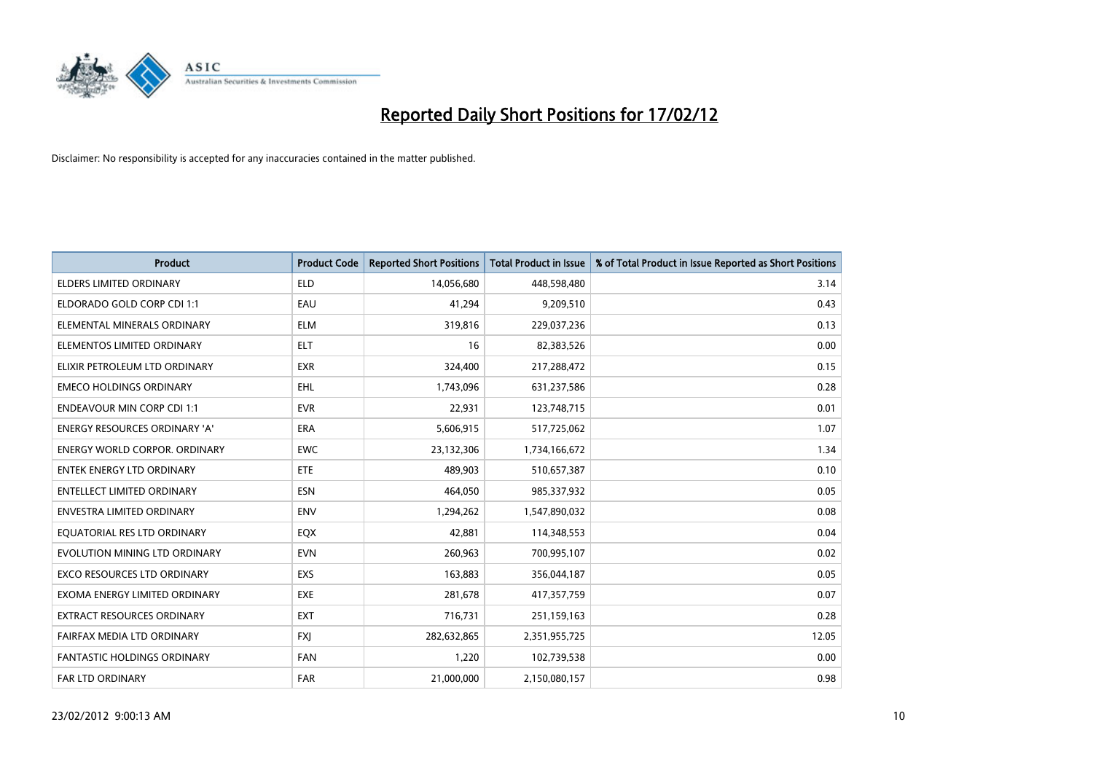

| <b>Product</b>                       | <b>Product Code</b> | <b>Reported Short Positions</b> | <b>Total Product in Issue</b> | % of Total Product in Issue Reported as Short Positions |
|--------------------------------------|---------------------|---------------------------------|-------------------------------|---------------------------------------------------------|
| <b>ELDERS LIMITED ORDINARY</b>       | <b>ELD</b>          | 14,056,680                      | 448,598,480                   | 3.14                                                    |
| ELDORADO GOLD CORP CDI 1:1           | EAU                 | 41,294                          | 9,209,510                     | 0.43                                                    |
| ELEMENTAL MINERALS ORDINARY          | <b>ELM</b>          | 319,816                         | 229,037,236                   | 0.13                                                    |
| ELEMENTOS LIMITED ORDINARY           | <b>ELT</b>          | 16                              | 82,383,526                    | 0.00                                                    |
| ELIXIR PETROLEUM LTD ORDINARY        | <b>EXR</b>          | 324,400                         | 217,288,472                   | 0.15                                                    |
| <b>EMECO HOLDINGS ORDINARY</b>       | EHL.                | 1,743,096                       | 631,237,586                   | 0.28                                                    |
| <b>ENDEAVOUR MIN CORP CDI 1:1</b>    | <b>EVR</b>          | 22,931                          | 123,748,715                   | 0.01                                                    |
| ENERGY RESOURCES ORDINARY 'A'        | <b>ERA</b>          | 5,606,915                       | 517,725,062                   | 1.07                                                    |
| <b>ENERGY WORLD CORPOR, ORDINARY</b> | <b>EWC</b>          | 23,132,306                      | 1,734,166,672                 | 1.34                                                    |
| <b>ENTEK ENERGY LTD ORDINARY</b>     | ETE                 | 489,903                         | 510,657,387                   | 0.10                                                    |
| ENTELLECT LIMITED ORDINARY           | <b>ESN</b>          | 464,050                         | 985,337,932                   | 0.05                                                    |
| <b>ENVESTRA LIMITED ORDINARY</b>     | <b>ENV</b>          | 1,294,262                       | 1,547,890,032                 | 0.08                                                    |
| EQUATORIAL RES LTD ORDINARY          | EQX                 | 42,881                          | 114,348,553                   | 0.04                                                    |
| EVOLUTION MINING LTD ORDINARY        | <b>EVN</b>          | 260,963                         | 700,995,107                   | 0.02                                                    |
| <b>EXCO RESOURCES LTD ORDINARY</b>   | EXS                 | 163,883                         | 356,044,187                   | 0.05                                                    |
| EXOMA ENERGY LIMITED ORDINARY        | <b>EXE</b>          | 281,678                         | 417,357,759                   | 0.07                                                    |
| EXTRACT RESOURCES ORDINARY           | <b>EXT</b>          | 716,731                         | 251,159,163                   | 0.28                                                    |
| FAIRFAX MEDIA LTD ORDINARY           | <b>FXI</b>          | 282,632,865                     | 2,351,955,725                 | 12.05                                                   |
| <b>FANTASTIC HOLDINGS ORDINARY</b>   | <b>FAN</b>          | 1,220                           | 102,739,538                   | 0.00                                                    |
| <b>FAR LTD ORDINARY</b>              | <b>FAR</b>          | 21,000,000                      | 2,150,080,157                 | 0.98                                                    |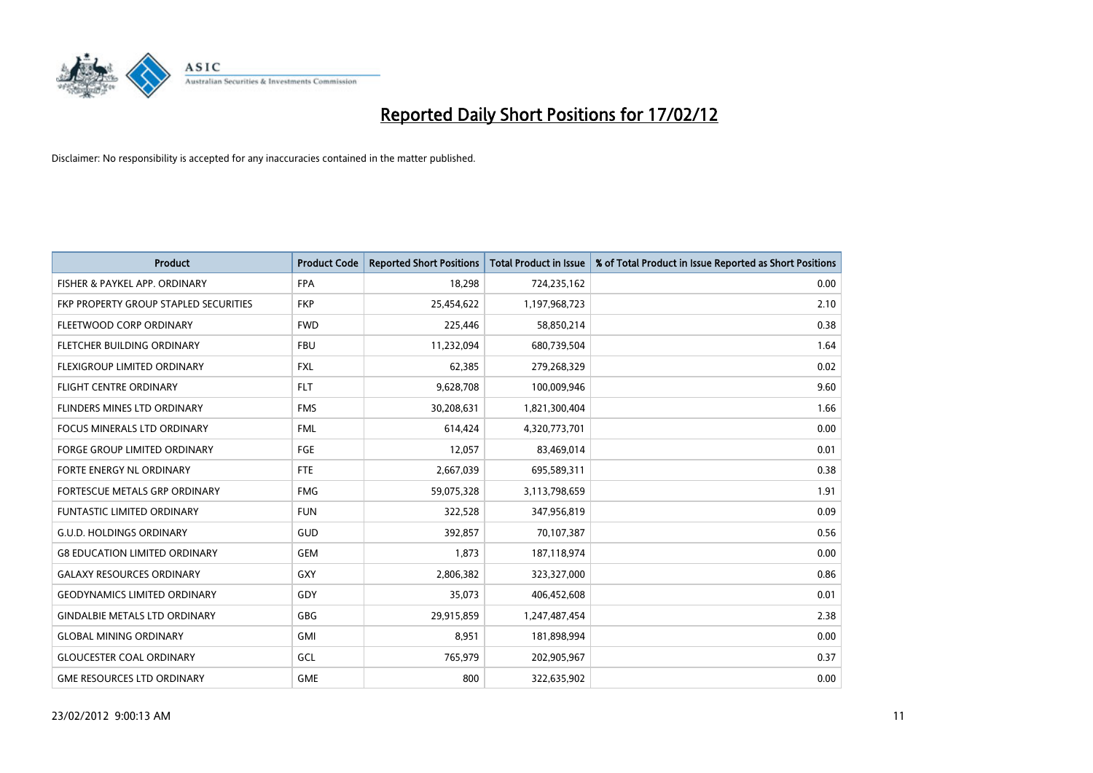

| <b>Product</b>                        | <b>Product Code</b> | <b>Reported Short Positions</b> | <b>Total Product in Issue</b> | % of Total Product in Issue Reported as Short Positions |
|---------------------------------------|---------------------|---------------------------------|-------------------------------|---------------------------------------------------------|
| FISHER & PAYKEL APP. ORDINARY         | <b>FPA</b>          | 18,298                          | 724,235,162                   | 0.00                                                    |
| FKP PROPERTY GROUP STAPLED SECURITIES | <b>FKP</b>          | 25,454,622                      | 1,197,968,723                 | 2.10                                                    |
| FLEETWOOD CORP ORDINARY               | <b>FWD</b>          | 225,446                         | 58,850,214                    | 0.38                                                    |
| FLETCHER BUILDING ORDINARY            | <b>FBU</b>          | 11,232,094                      | 680,739,504                   | 1.64                                                    |
| FLEXIGROUP LIMITED ORDINARY           | <b>FXL</b>          | 62,385                          | 279,268,329                   | 0.02                                                    |
| <b>FLIGHT CENTRE ORDINARY</b>         | <b>FLT</b>          | 9,628,708                       | 100,009,946                   | 9.60                                                    |
| <b>FLINDERS MINES LTD ORDINARY</b>    | <b>FMS</b>          | 30,208,631                      | 1,821,300,404                 | 1.66                                                    |
| <b>FOCUS MINERALS LTD ORDINARY</b>    | <b>FML</b>          | 614,424                         | 4,320,773,701                 | 0.00                                                    |
| <b>FORGE GROUP LIMITED ORDINARY</b>   | FGE                 | 12,057                          | 83,469,014                    | 0.01                                                    |
| FORTE ENERGY NL ORDINARY              | FTE                 | 2,667,039                       | 695,589,311                   | 0.38                                                    |
| FORTESCUE METALS GRP ORDINARY         | <b>FMG</b>          | 59,075,328                      | 3,113,798,659                 | 1.91                                                    |
| <b>FUNTASTIC LIMITED ORDINARY</b>     | <b>FUN</b>          | 322,528                         | 347,956,819                   | 0.09                                                    |
| <b>G.U.D. HOLDINGS ORDINARY</b>       | GUD                 | 392,857                         | 70,107,387                    | 0.56                                                    |
| <b>G8 EDUCATION LIMITED ORDINARY</b>  | <b>GEM</b>          | 1,873                           | 187,118,974                   | 0.00                                                    |
| <b>GALAXY RESOURCES ORDINARY</b>      | GXY                 | 2,806,382                       | 323,327,000                   | 0.86                                                    |
| <b>GEODYNAMICS LIMITED ORDINARY</b>   | GDY                 | 35,073                          | 406,452,608                   | 0.01                                                    |
| <b>GINDALBIE METALS LTD ORDINARY</b>  | GBG                 | 29,915,859                      | 1,247,487,454                 | 2.38                                                    |
| <b>GLOBAL MINING ORDINARY</b>         | GMI                 | 8,951                           | 181,898,994                   | 0.00                                                    |
| <b>GLOUCESTER COAL ORDINARY</b>       | GCL                 | 765,979                         | 202,905,967                   | 0.37                                                    |
| <b>GME RESOURCES LTD ORDINARY</b>     | <b>GME</b>          | 800                             | 322,635,902                   | 0.00                                                    |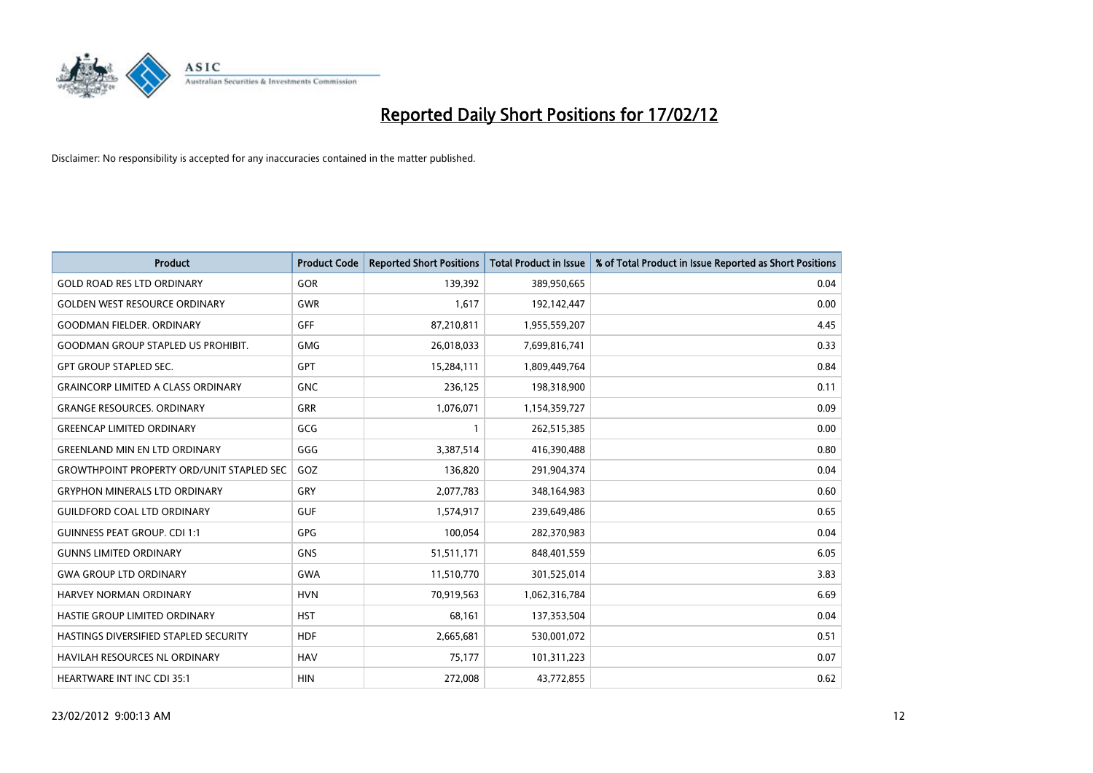

| <b>Product</b>                                   | <b>Product Code</b> | <b>Reported Short Positions</b> | <b>Total Product in Issue</b> | % of Total Product in Issue Reported as Short Positions |
|--------------------------------------------------|---------------------|---------------------------------|-------------------------------|---------------------------------------------------------|
| <b>GOLD ROAD RES LTD ORDINARY</b>                | GOR                 | 139.392                         | 389,950,665                   | 0.04                                                    |
| <b>GOLDEN WEST RESOURCE ORDINARY</b>             | <b>GWR</b>          | 1,617                           | 192,142,447                   | 0.00                                                    |
| <b>GOODMAN FIELDER, ORDINARY</b>                 | <b>GFF</b>          | 87,210,811                      | 1,955,559,207                 | 4.45                                                    |
| <b>GOODMAN GROUP STAPLED US PROHIBIT.</b>        | <b>GMG</b>          | 26,018,033                      | 7,699,816,741                 | 0.33                                                    |
| <b>GPT GROUP STAPLED SEC.</b>                    | GPT                 | 15,284,111                      | 1,809,449,764                 | 0.84                                                    |
| <b>GRAINCORP LIMITED A CLASS ORDINARY</b>        | <b>GNC</b>          | 236,125                         | 198,318,900                   | 0.11                                                    |
| <b>GRANGE RESOURCES. ORDINARY</b>                | GRR                 | 1,076,071                       | 1,154,359,727                 | 0.09                                                    |
| <b>GREENCAP LIMITED ORDINARY</b>                 | GCG                 | 1                               | 262,515,385                   | 0.00                                                    |
| <b>GREENLAND MIN EN LTD ORDINARY</b>             | GGG                 | 3,387,514                       | 416,390,488                   | 0.80                                                    |
| <b>GROWTHPOINT PROPERTY ORD/UNIT STAPLED SEC</b> | GOZ                 | 136,820                         | 291,904,374                   | 0.04                                                    |
| <b>GRYPHON MINERALS LTD ORDINARY</b>             | GRY                 | 2,077,783                       | 348,164,983                   | 0.60                                                    |
| <b>GUILDFORD COAL LTD ORDINARY</b>               | <b>GUF</b>          | 1,574,917                       | 239,649,486                   | 0.65                                                    |
| <b>GUINNESS PEAT GROUP. CDI 1:1</b>              | GPG                 | 100,054                         | 282,370,983                   | 0.04                                                    |
| <b>GUNNS LIMITED ORDINARY</b>                    | <b>GNS</b>          | 51,511,171                      | 848,401,559                   | 6.05                                                    |
| <b>GWA GROUP LTD ORDINARY</b>                    | <b>GWA</b>          | 11,510,770                      | 301,525,014                   | 3.83                                                    |
| <b>HARVEY NORMAN ORDINARY</b>                    | <b>HVN</b>          | 70,919,563                      | 1,062,316,784                 | 6.69                                                    |
| <b>HASTIE GROUP LIMITED ORDINARY</b>             | <b>HST</b>          | 68,161                          | 137,353,504                   | 0.04                                                    |
| HASTINGS DIVERSIFIED STAPLED SECURITY            | <b>HDF</b>          | 2,665,681                       | 530,001,072                   | 0.51                                                    |
| <b>HAVILAH RESOURCES NL ORDINARY</b>             | <b>HAV</b>          | 75,177                          | 101,311,223                   | 0.07                                                    |
| <b>HEARTWARE INT INC CDI 35:1</b>                | <b>HIN</b>          | 272,008                         | 43,772,855                    | 0.62                                                    |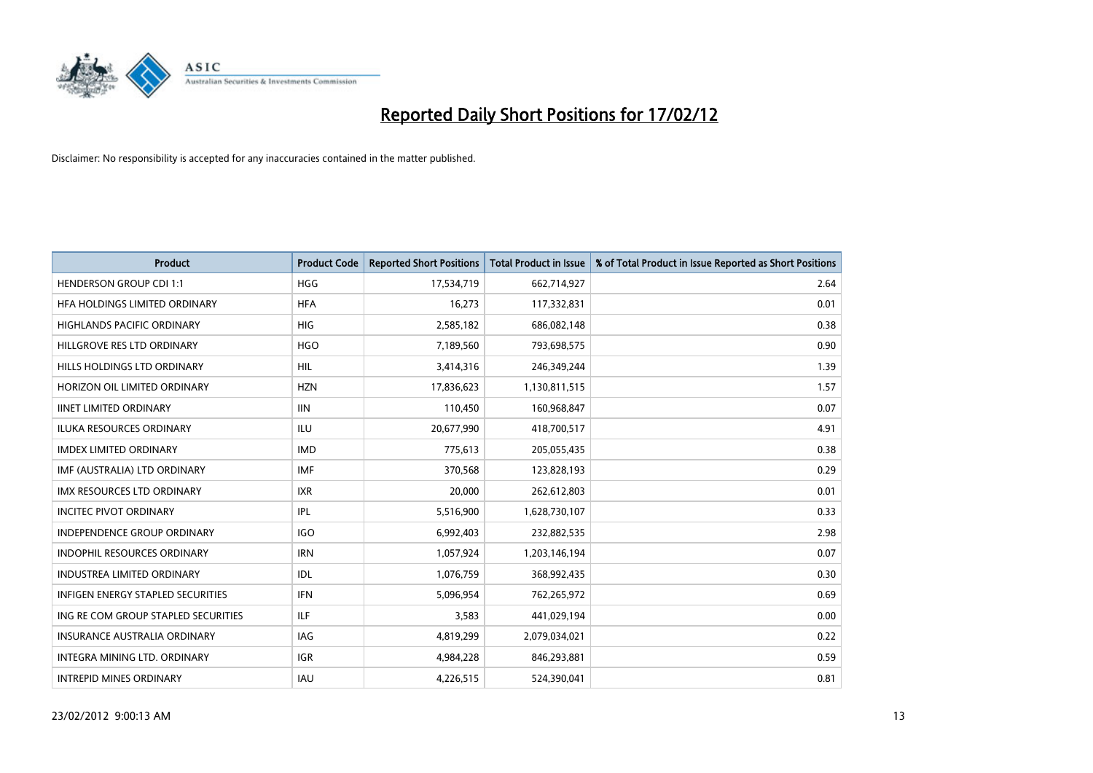

| <b>Product</b>                      | <b>Product Code</b> | <b>Reported Short Positions</b> | <b>Total Product in Issue</b> | % of Total Product in Issue Reported as Short Positions |
|-------------------------------------|---------------------|---------------------------------|-------------------------------|---------------------------------------------------------|
| <b>HENDERSON GROUP CDI 1:1</b>      | <b>HGG</b>          | 17,534,719                      | 662,714,927                   | 2.64                                                    |
| HFA HOLDINGS LIMITED ORDINARY       | <b>HFA</b>          | 16,273                          | 117,332,831                   | 0.01                                                    |
| <b>HIGHLANDS PACIFIC ORDINARY</b>   | <b>HIG</b>          | 2,585,182                       | 686,082,148                   | 0.38                                                    |
| HILLGROVE RES LTD ORDINARY          | <b>HGO</b>          | 7,189,560                       | 793,698,575                   | 0.90                                                    |
| HILLS HOLDINGS LTD ORDINARY         | HIL                 | 3,414,316                       | 246,349,244                   | 1.39                                                    |
| HORIZON OIL LIMITED ORDINARY        | <b>HZN</b>          | 17,836,623                      | 1,130,811,515                 | 1.57                                                    |
| <b>IINET LIMITED ORDINARY</b>       | <b>IIN</b>          | 110,450                         | 160,968,847                   | 0.07                                                    |
| ILUKA RESOURCES ORDINARY            | <b>ILU</b>          | 20,677,990                      | 418,700,517                   | 4.91                                                    |
| <b>IMDEX LIMITED ORDINARY</b>       | <b>IMD</b>          | 775,613                         | 205,055,435                   | 0.38                                                    |
| IMF (AUSTRALIA) LTD ORDINARY        | <b>IMF</b>          | 370,568                         | 123,828,193                   | 0.29                                                    |
| IMX RESOURCES LTD ORDINARY          | <b>IXR</b>          | 20,000                          | 262,612,803                   | 0.01                                                    |
| <b>INCITEC PIVOT ORDINARY</b>       | IPL                 | 5,516,900                       | 1,628,730,107                 | 0.33                                                    |
| INDEPENDENCE GROUP ORDINARY         | <b>IGO</b>          | 6,992,403                       | 232,882,535                   | 2.98                                                    |
| <b>INDOPHIL RESOURCES ORDINARY</b>  | <b>IRN</b>          | 1,057,924                       | 1,203,146,194                 | 0.07                                                    |
| <b>INDUSTREA LIMITED ORDINARY</b>   | <b>IDL</b>          | 1,076,759                       | 368,992,435                   | 0.30                                                    |
| INFIGEN ENERGY STAPLED SECURITIES   | <b>IFN</b>          | 5,096,954                       | 762,265,972                   | 0.69                                                    |
| ING RE COM GROUP STAPLED SECURITIES | ILF                 | 3,583                           | 441,029,194                   | 0.00                                                    |
| <b>INSURANCE AUSTRALIA ORDINARY</b> | IAG                 | 4,819,299                       | 2,079,034,021                 | 0.22                                                    |
| INTEGRA MINING LTD, ORDINARY        | <b>IGR</b>          | 4,984,228                       | 846,293,881                   | 0.59                                                    |
| <b>INTREPID MINES ORDINARY</b>      | IAU                 | 4,226,515                       | 524,390,041                   | 0.81                                                    |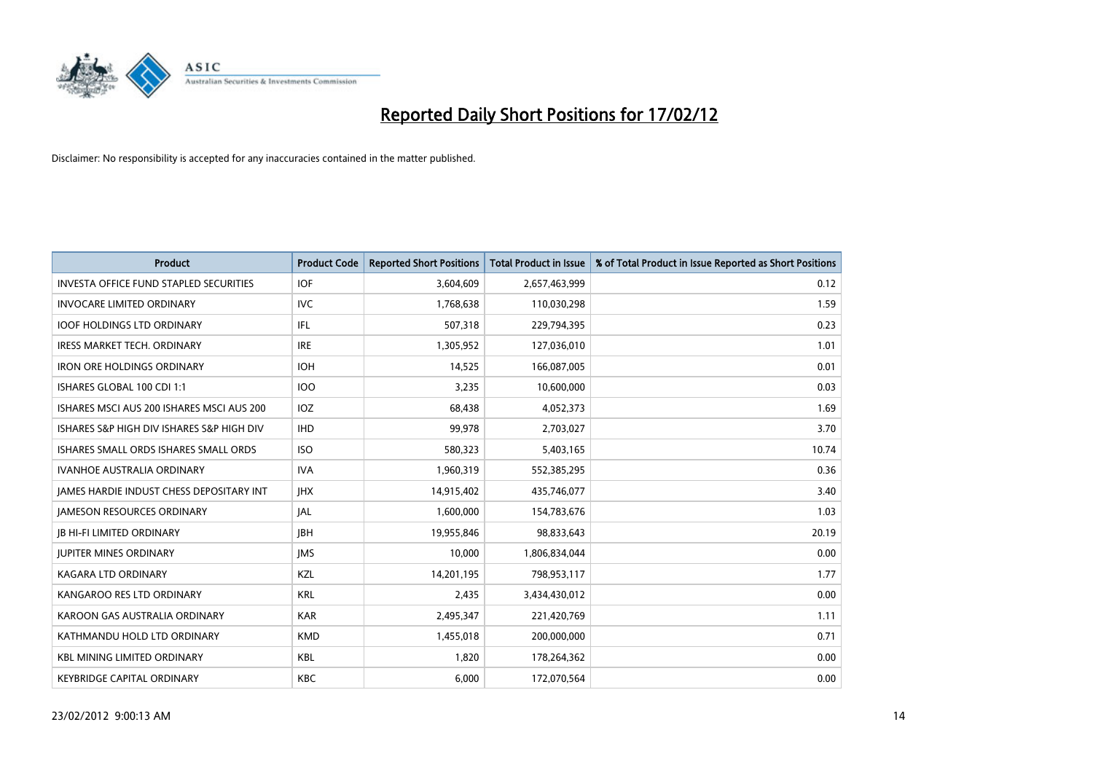

| <b>Product</b>                                | <b>Product Code</b> | <b>Reported Short Positions</b> | <b>Total Product in Issue</b> | % of Total Product in Issue Reported as Short Positions |
|-----------------------------------------------|---------------------|---------------------------------|-------------------------------|---------------------------------------------------------|
| <b>INVESTA OFFICE FUND STAPLED SECURITIES</b> | <b>IOF</b>          | 3,604,609                       | 2,657,463,999                 | 0.12                                                    |
| <b>INVOCARE LIMITED ORDINARY</b>              | IVC.                | 1,768,638                       | 110,030,298                   | 1.59                                                    |
| <b>IOOF HOLDINGS LTD ORDINARY</b>             | IFL                 | 507,318                         | 229,794,395                   | 0.23                                                    |
| <b>IRESS MARKET TECH. ORDINARY</b>            | <b>IRE</b>          | 1,305,952                       | 127,036,010                   | 1.01                                                    |
| <b>IRON ORE HOLDINGS ORDINARY</b>             | <b>IOH</b>          | 14,525                          | 166,087,005                   | 0.01                                                    |
| ISHARES GLOBAL 100 CDI 1:1                    | <b>IOO</b>          | 3,235                           | 10,600,000                    | 0.03                                                    |
| ISHARES MSCI AUS 200 ISHARES MSCI AUS 200     | <b>IOZ</b>          | 68,438                          | 4,052,373                     | 1.69                                                    |
| ISHARES S&P HIGH DIV ISHARES S&P HIGH DIV     | <b>IHD</b>          | 99,978                          | 2,703,027                     | 3.70                                                    |
| ISHARES SMALL ORDS ISHARES SMALL ORDS         | <b>ISO</b>          | 580,323                         | 5,403,165                     | 10.74                                                   |
| <b>IVANHOE AUSTRALIA ORDINARY</b>             | <b>IVA</b>          | 1,960,319                       | 552,385,295                   | 0.36                                                    |
| JAMES HARDIE INDUST CHESS DEPOSITARY INT      | <b>IHX</b>          | 14,915,402                      | 435,746,077                   | 3.40                                                    |
| <b>JAMESON RESOURCES ORDINARY</b>             | JAL                 | 1,600,000                       | 154,783,676                   | 1.03                                                    |
| <b>JB HI-FI LIMITED ORDINARY</b>              | <b>IBH</b>          | 19,955,846                      | 98,833,643                    | 20.19                                                   |
| <b>JUPITER MINES ORDINARY</b>                 | <b>IMS</b>          | 10,000                          | 1,806,834,044                 | 0.00                                                    |
| <b>KAGARA LTD ORDINARY</b>                    | KZL                 | 14,201,195                      | 798,953,117                   | 1.77                                                    |
| KANGAROO RES LTD ORDINARY                     | <b>KRL</b>          | 2,435                           | 3,434,430,012                 | 0.00                                                    |
| KAROON GAS AUSTRALIA ORDINARY                 | <b>KAR</b>          | 2,495,347                       | 221,420,769                   | 1.11                                                    |
| KATHMANDU HOLD LTD ORDINARY                   | <b>KMD</b>          | 1,455,018                       | 200,000,000                   | 0.71                                                    |
| <b>KBL MINING LIMITED ORDINARY</b>            | <b>KBL</b>          | 1,820                           | 178,264,362                   | 0.00                                                    |
| <b>KEYBRIDGE CAPITAL ORDINARY</b>             | <b>KBC</b>          | 6,000                           | 172,070,564                   | 0.00                                                    |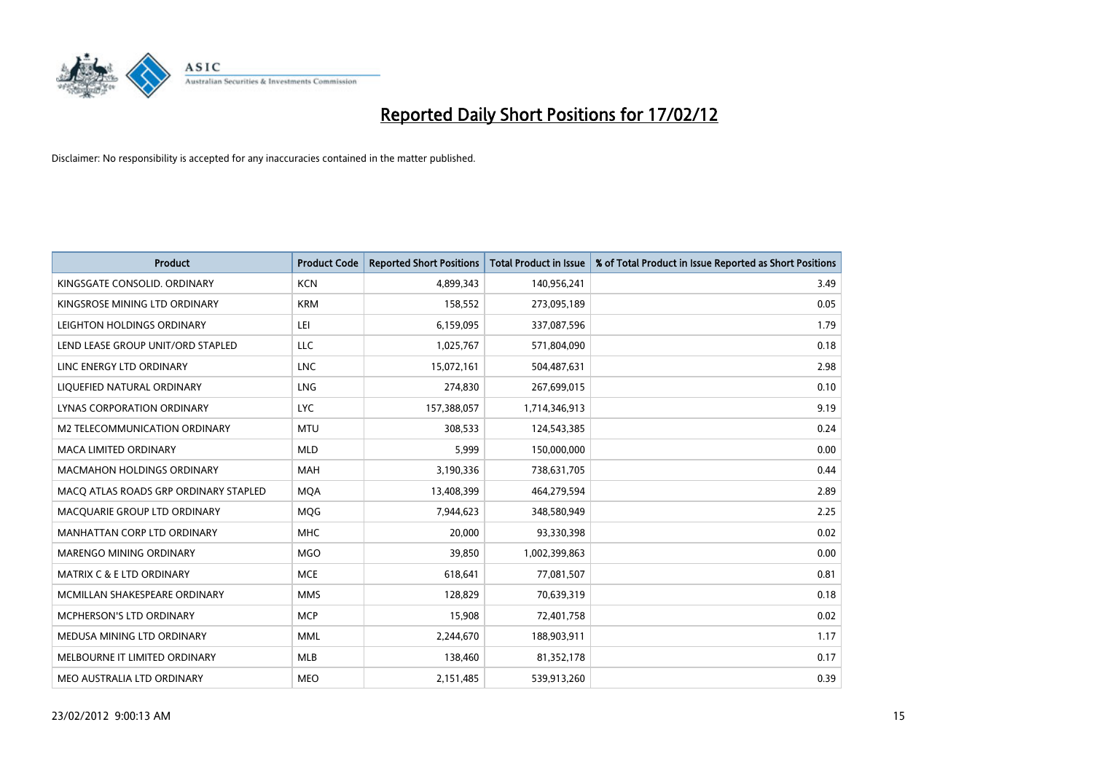

| <b>Product</b>                        | <b>Product Code</b> | <b>Reported Short Positions</b> | <b>Total Product in Issue</b> | % of Total Product in Issue Reported as Short Positions |
|---------------------------------------|---------------------|---------------------------------|-------------------------------|---------------------------------------------------------|
| KINGSGATE CONSOLID. ORDINARY          | <b>KCN</b>          | 4,899,343                       | 140,956,241                   | 3.49                                                    |
| KINGSROSE MINING LTD ORDINARY         | <b>KRM</b>          | 158,552                         | 273,095,189                   | 0.05                                                    |
| LEIGHTON HOLDINGS ORDINARY            | LEI                 | 6,159,095                       | 337,087,596                   | 1.79                                                    |
| LEND LEASE GROUP UNIT/ORD STAPLED     | LLC                 | 1,025,767                       | 571,804,090                   | 0.18                                                    |
| LINC ENERGY LTD ORDINARY              | <b>LNC</b>          | 15,072,161                      | 504,487,631                   | 2.98                                                    |
| LIQUEFIED NATURAL ORDINARY            | <b>LNG</b>          | 274,830                         | 267,699,015                   | 0.10                                                    |
| LYNAS CORPORATION ORDINARY            | <b>LYC</b>          | 157,388,057                     | 1,714,346,913                 | 9.19                                                    |
| M2 TELECOMMUNICATION ORDINARY         | <b>MTU</b>          | 308,533                         | 124,543,385                   | 0.24                                                    |
| <b>MACA LIMITED ORDINARY</b>          | <b>MLD</b>          | 5,999                           | 150,000,000                   | 0.00                                                    |
| <b>MACMAHON HOLDINGS ORDINARY</b>     | <b>MAH</b>          | 3,190,336                       | 738,631,705                   | 0.44                                                    |
| MACO ATLAS ROADS GRP ORDINARY STAPLED | <b>MOA</b>          | 13,408,399                      | 464,279,594                   | 2.89                                                    |
| MACQUARIE GROUP LTD ORDINARY          | <b>MQG</b>          | 7,944,623                       | 348,580,949                   | 2.25                                                    |
| MANHATTAN CORP LTD ORDINARY           | <b>MHC</b>          | 20,000                          | 93,330,398                    | 0.02                                                    |
| MARENGO MINING ORDINARY               | <b>MGO</b>          | 39,850                          | 1,002,399,863                 | 0.00                                                    |
| <b>MATRIX C &amp; E LTD ORDINARY</b>  | <b>MCE</b>          | 618,641                         | 77,081,507                    | 0.81                                                    |
| MCMILLAN SHAKESPEARE ORDINARY         | <b>MMS</b>          | 128,829                         | 70,639,319                    | 0.18                                                    |
| MCPHERSON'S LTD ORDINARY              | <b>MCP</b>          | 15,908                          | 72,401,758                    | 0.02                                                    |
| MEDUSA MINING LTD ORDINARY            | <b>MML</b>          | 2,244,670                       | 188,903,911                   | 1.17                                                    |
| MELBOURNE IT LIMITED ORDINARY         | <b>MLB</b>          | 138,460                         | 81,352,178                    | 0.17                                                    |
| MEO AUSTRALIA LTD ORDINARY            | <b>MEO</b>          | 2,151,485                       | 539,913,260                   | 0.39                                                    |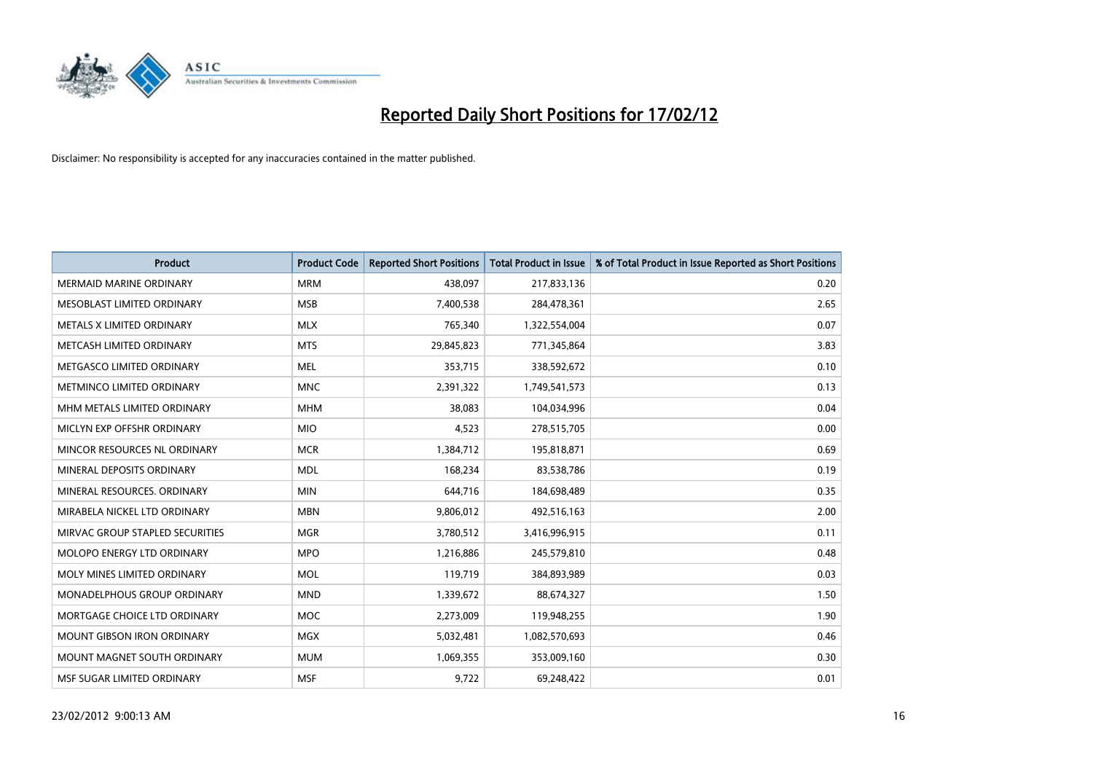

| <b>Product</b>                  | <b>Product Code</b> | <b>Reported Short Positions</b> | <b>Total Product in Issue</b> | % of Total Product in Issue Reported as Short Positions |
|---------------------------------|---------------------|---------------------------------|-------------------------------|---------------------------------------------------------|
| <b>MERMAID MARINE ORDINARY</b>  | <b>MRM</b>          | 438,097                         | 217,833,136                   | 0.20                                                    |
| MESOBLAST LIMITED ORDINARY      | <b>MSB</b>          | 7,400,538                       | 284,478,361                   | 2.65                                                    |
| METALS X LIMITED ORDINARY       | <b>MLX</b>          | 765,340                         | 1,322,554,004                 | 0.07                                                    |
| METCASH LIMITED ORDINARY        | <b>MTS</b>          | 29,845,823                      | 771,345,864                   | 3.83                                                    |
| METGASCO LIMITED ORDINARY       | <b>MEL</b>          | 353,715                         | 338,592,672                   | 0.10                                                    |
| METMINCO LIMITED ORDINARY       | <b>MNC</b>          | 2,391,322                       | 1,749,541,573                 | 0.13                                                    |
| MHM METALS LIMITED ORDINARY     | <b>MHM</b>          | 38,083                          | 104,034,996                   | 0.04                                                    |
| MICLYN EXP OFFSHR ORDINARY      | <b>MIO</b>          | 4,523                           | 278,515,705                   | 0.00                                                    |
| MINCOR RESOURCES NL ORDINARY    | <b>MCR</b>          | 1,384,712                       | 195,818,871                   | 0.69                                                    |
| MINERAL DEPOSITS ORDINARY       | <b>MDL</b>          | 168,234                         | 83,538,786                    | 0.19                                                    |
| MINERAL RESOURCES, ORDINARY     | <b>MIN</b>          | 644,716                         | 184,698,489                   | 0.35                                                    |
| MIRABELA NICKEL LTD ORDINARY    | <b>MBN</b>          | 9,806,012                       | 492,516,163                   | 2.00                                                    |
| MIRVAC GROUP STAPLED SECURITIES | <b>MGR</b>          | 3,780,512                       | 3,416,996,915                 | 0.11                                                    |
| MOLOPO ENERGY LTD ORDINARY      | <b>MPO</b>          | 1,216,886                       | 245,579,810                   | 0.48                                                    |
| MOLY MINES LIMITED ORDINARY     | <b>MOL</b>          | 119,719                         | 384,893,989                   | 0.03                                                    |
| MONADELPHOUS GROUP ORDINARY     | <b>MND</b>          | 1,339,672                       | 88,674,327                    | 1.50                                                    |
| MORTGAGE CHOICE LTD ORDINARY    | <b>MOC</b>          | 2,273,009                       | 119,948,255                   | 1.90                                                    |
| MOUNT GIBSON IRON ORDINARY      | <b>MGX</b>          | 5,032,481                       | 1,082,570,693                 | 0.46                                                    |
| MOUNT MAGNET SOUTH ORDINARY     | <b>MUM</b>          | 1,069,355                       | 353,009,160                   | 0.30                                                    |
| MSF SUGAR LIMITED ORDINARY      | <b>MSF</b>          | 9,722                           | 69,248,422                    | 0.01                                                    |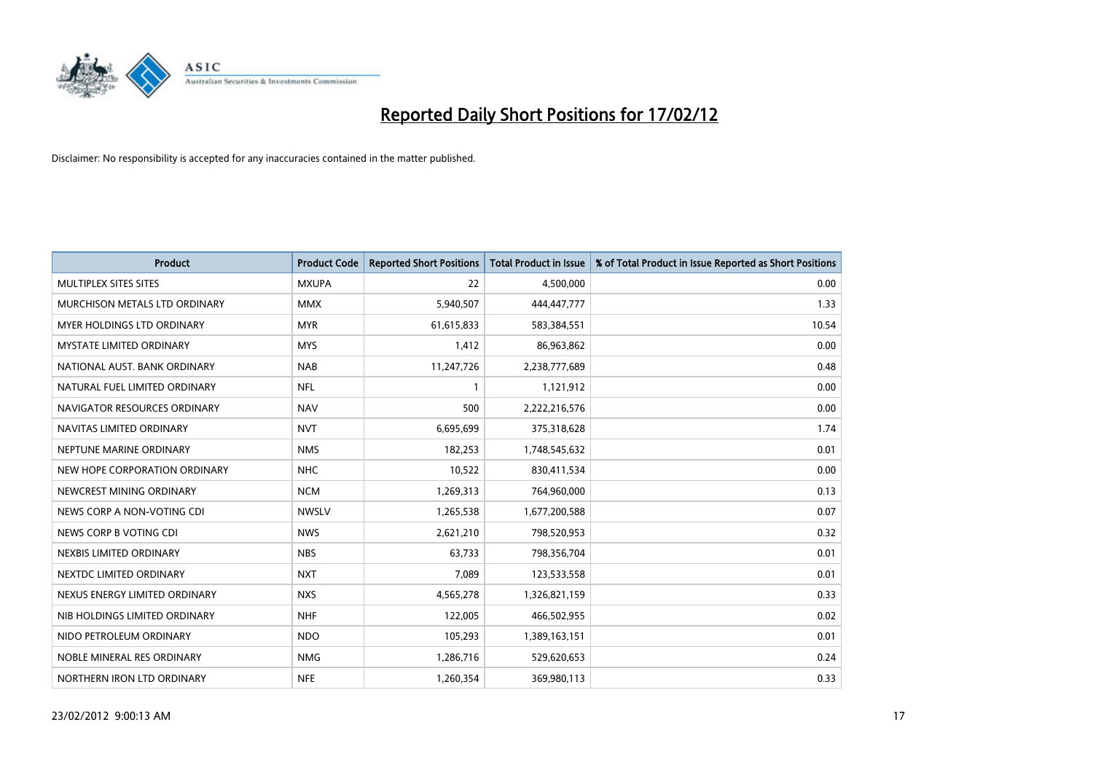

| <b>Product</b>                  | <b>Product Code</b> | <b>Reported Short Positions</b> | <b>Total Product in Issue</b> | % of Total Product in Issue Reported as Short Positions |
|---------------------------------|---------------------|---------------------------------|-------------------------------|---------------------------------------------------------|
| MULTIPLEX SITES SITES           | <b>MXUPA</b>        | 22                              | 4,500,000                     | 0.00                                                    |
| MURCHISON METALS LTD ORDINARY   | <b>MMX</b>          | 5,940,507                       | 444,447,777                   | 1.33                                                    |
| MYER HOLDINGS LTD ORDINARY      | <b>MYR</b>          | 61,615,833                      | 583,384,551                   | 10.54                                                   |
| <b>MYSTATE LIMITED ORDINARY</b> | <b>MYS</b>          | 1,412                           | 86,963,862                    | 0.00                                                    |
| NATIONAL AUST, BANK ORDINARY    | <b>NAB</b>          | 11,247,726                      | 2,238,777,689                 | 0.48                                                    |
| NATURAL FUEL LIMITED ORDINARY   | <b>NFL</b>          | $\mathbf{1}$                    | 1,121,912                     | 0.00                                                    |
| NAVIGATOR RESOURCES ORDINARY    | <b>NAV</b>          | 500                             | 2,222,216,576                 | 0.00                                                    |
| NAVITAS LIMITED ORDINARY        | <b>NVT</b>          | 6,695,699                       | 375,318,628                   | 1.74                                                    |
| NEPTUNE MARINE ORDINARY         | <b>NMS</b>          | 182,253                         | 1,748,545,632                 | 0.01                                                    |
| NEW HOPE CORPORATION ORDINARY   | <b>NHC</b>          | 10,522                          | 830,411,534                   | 0.00                                                    |
| NEWCREST MINING ORDINARY        | <b>NCM</b>          | 1,269,313                       | 764,960,000                   | 0.13                                                    |
| NEWS CORP A NON-VOTING CDI      | <b>NWSLV</b>        | 1,265,538                       | 1,677,200,588                 | 0.07                                                    |
| NEWS CORP B VOTING CDI          | <b>NWS</b>          | 2,621,210                       | 798,520,953                   | 0.32                                                    |
| NEXBIS LIMITED ORDINARY         | <b>NBS</b>          | 63,733                          | 798,356,704                   | 0.01                                                    |
| NEXTDC LIMITED ORDINARY         | <b>NXT</b>          | 7,089                           | 123,533,558                   | 0.01                                                    |
| NEXUS ENERGY LIMITED ORDINARY   | <b>NXS</b>          | 4,565,278                       | 1,326,821,159                 | 0.33                                                    |
| NIB HOLDINGS LIMITED ORDINARY   | <b>NHF</b>          | 122,005                         | 466,502,955                   | 0.02                                                    |
| NIDO PETROLEUM ORDINARY         | <b>NDO</b>          | 105,293                         | 1,389,163,151                 | 0.01                                                    |
| NOBLE MINERAL RES ORDINARY      | <b>NMG</b>          | 1,286,716                       | 529,620,653                   | 0.24                                                    |
| NORTHERN IRON LTD ORDINARY      | <b>NFE</b>          | 1,260,354                       | 369,980,113                   | 0.33                                                    |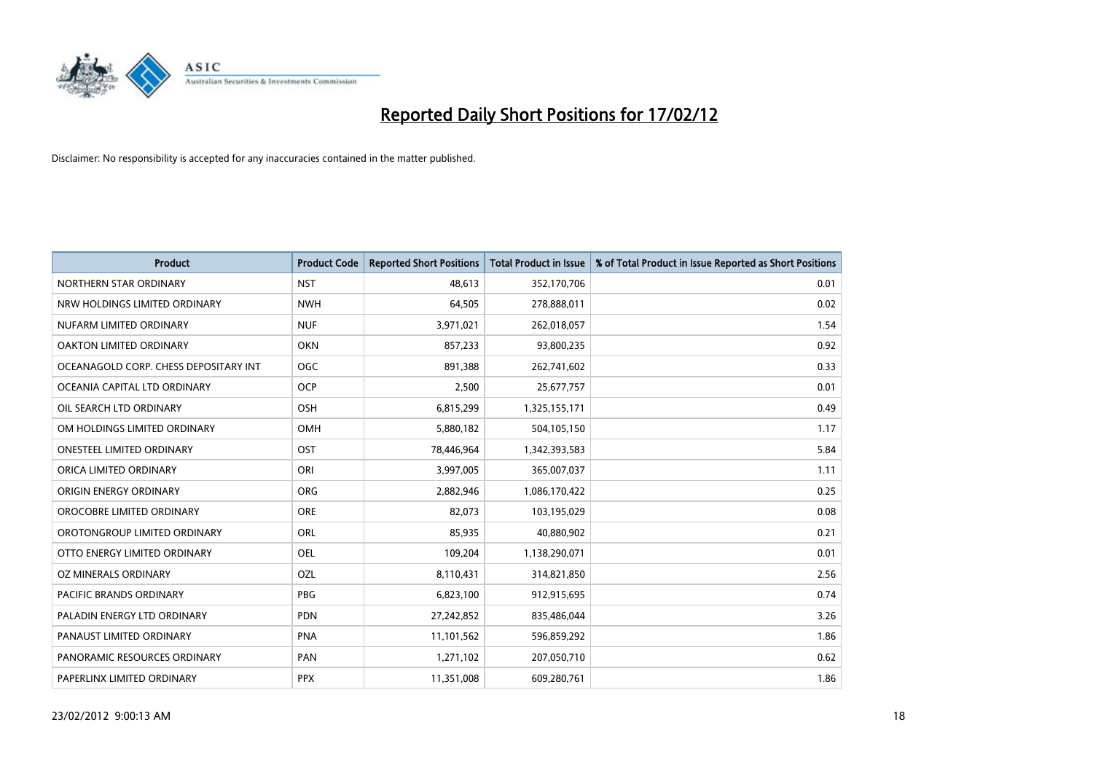

| <b>Product</b>                        | <b>Product Code</b> | <b>Reported Short Positions</b> | <b>Total Product in Issue</b> | % of Total Product in Issue Reported as Short Positions |
|---------------------------------------|---------------------|---------------------------------|-------------------------------|---------------------------------------------------------|
| NORTHERN STAR ORDINARY                | <b>NST</b>          | 48,613                          | 352,170,706                   | 0.01                                                    |
| NRW HOLDINGS LIMITED ORDINARY         | <b>NWH</b>          | 64,505                          | 278,888,011                   | 0.02                                                    |
| NUFARM LIMITED ORDINARY               | <b>NUF</b>          | 3,971,021                       | 262,018,057                   | 1.54                                                    |
| OAKTON LIMITED ORDINARY               | <b>OKN</b>          | 857,233                         | 93,800,235                    | 0.92                                                    |
| OCEANAGOLD CORP. CHESS DEPOSITARY INT | <b>OGC</b>          | 891,388                         | 262,741,602                   | 0.33                                                    |
| OCEANIA CAPITAL LTD ORDINARY          | <b>OCP</b>          | 2,500                           | 25,677,757                    | 0.01                                                    |
| OIL SEARCH LTD ORDINARY               | OSH                 | 6,815,299                       | 1,325,155,171                 | 0.49                                                    |
| OM HOLDINGS LIMITED ORDINARY          | OMH                 | 5,880,182                       | 504,105,150                   | 1.17                                                    |
| ONESTEEL LIMITED ORDINARY             | OST                 | 78,446,964                      | 1,342,393,583                 | 5.84                                                    |
| ORICA LIMITED ORDINARY                | ORI                 | 3,997,005                       | 365,007,037                   | 1.11                                                    |
| ORIGIN ENERGY ORDINARY                | <b>ORG</b>          | 2,882,946                       | 1,086,170,422                 | 0.25                                                    |
| OROCOBRE LIMITED ORDINARY             | <b>ORE</b>          | 82,073                          | 103,195,029                   | 0.08                                                    |
| OROTONGROUP LIMITED ORDINARY          | ORL                 | 85,935                          | 40,880,902                    | 0.21                                                    |
| OTTO ENERGY LIMITED ORDINARY          | <b>OEL</b>          | 109,204                         | 1,138,290,071                 | 0.01                                                    |
| OZ MINERALS ORDINARY                  | OZL                 | 8,110,431                       | 314,821,850                   | 2.56                                                    |
| PACIFIC BRANDS ORDINARY               | <b>PBG</b>          | 6,823,100                       | 912,915,695                   | 0.74                                                    |
| PALADIN ENERGY LTD ORDINARY           | PDN                 | 27,242,852                      | 835,486,044                   | 3.26                                                    |
| PANAUST LIMITED ORDINARY              | <b>PNA</b>          | 11,101,562                      | 596,859,292                   | 1.86                                                    |
| PANORAMIC RESOURCES ORDINARY          | PAN                 | 1,271,102                       | 207,050,710                   | 0.62                                                    |
| PAPERLINX LIMITED ORDINARY            | <b>PPX</b>          | 11,351,008                      | 609,280,761                   | 1.86                                                    |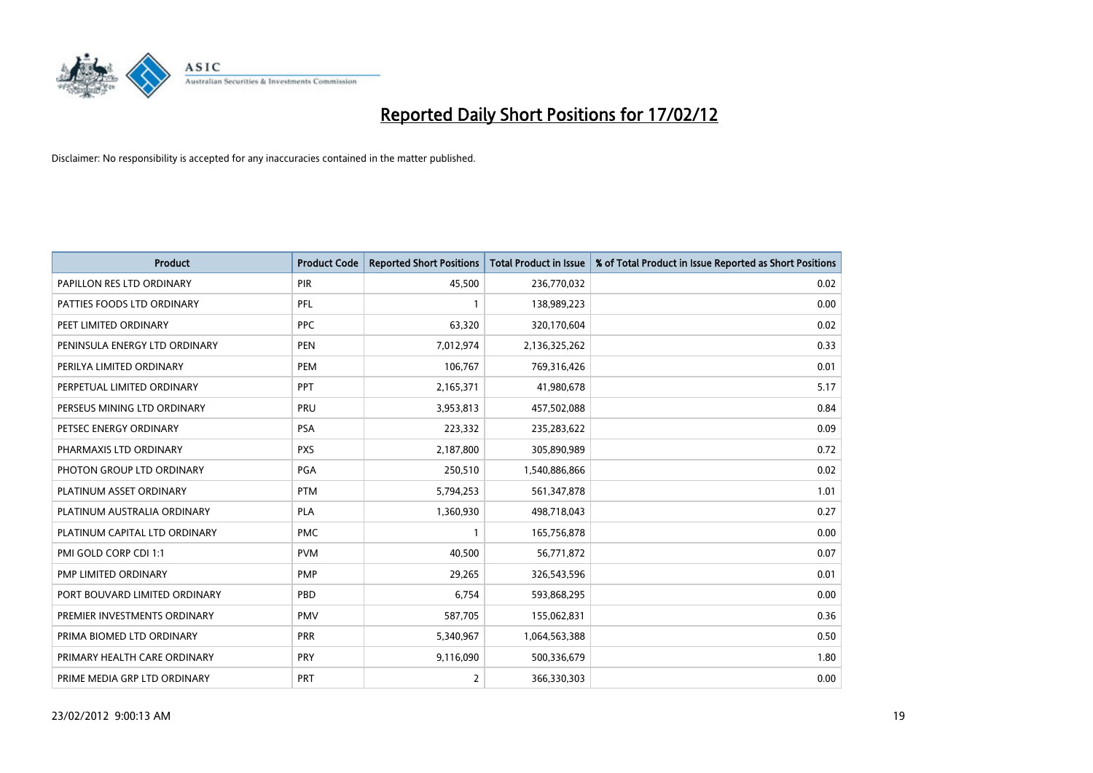

| <b>Product</b>                | <b>Product Code</b> | <b>Reported Short Positions</b> | <b>Total Product in Issue</b> | % of Total Product in Issue Reported as Short Positions |
|-------------------------------|---------------------|---------------------------------|-------------------------------|---------------------------------------------------------|
| PAPILLON RES LTD ORDINARY     | PIR                 | 45,500                          | 236,770,032                   | 0.02                                                    |
| PATTIES FOODS LTD ORDINARY    | PFL                 |                                 | 138,989,223                   | 0.00                                                    |
| PEET LIMITED ORDINARY         | <b>PPC</b>          | 63,320                          | 320,170,604                   | 0.02                                                    |
| PENINSULA ENERGY LTD ORDINARY | <b>PEN</b>          | 7,012,974                       | 2,136,325,262                 | 0.33                                                    |
| PERILYA LIMITED ORDINARY      | PEM                 | 106,767                         | 769,316,426                   | 0.01                                                    |
| PERPETUAL LIMITED ORDINARY    | PPT                 | 2,165,371                       | 41,980,678                    | 5.17                                                    |
| PERSEUS MINING LTD ORDINARY   | <b>PRU</b>          | 3,953,813                       | 457,502,088                   | 0.84                                                    |
| PETSEC ENERGY ORDINARY        | <b>PSA</b>          | 223,332                         | 235,283,622                   | 0.09                                                    |
| PHARMAXIS LTD ORDINARY        | <b>PXS</b>          | 2,187,800                       | 305,890,989                   | 0.72                                                    |
| PHOTON GROUP LTD ORDINARY     | PGA                 | 250,510                         | 1,540,886,866                 | 0.02                                                    |
| PLATINUM ASSET ORDINARY       | <b>PTM</b>          | 5,794,253                       | 561,347,878                   | 1.01                                                    |
| PLATINUM AUSTRALIA ORDINARY   | <b>PLA</b>          | 1,360,930                       | 498,718,043                   | 0.27                                                    |
| PLATINUM CAPITAL LTD ORDINARY | <b>PMC</b>          | $\mathbf{1}$                    | 165,756,878                   | 0.00                                                    |
| PMI GOLD CORP CDI 1:1         | <b>PVM</b>          | 40,500                          | 56,771,872                    | 0.07                                                    |
| PMP LIMITED ORDINARY          | <b>PMP</b>          | 29,265                          | 326,543,596                   | 0.01                                                    |
| PORT BOUVARD LIMITED ORDINARY | PBD                 | 6,754                           | 593,868,295                   | 0.00                                                    |
| PREMIER INVESTMENTS ORDINARY  | <b>PMV</b>          | 587,705                         | 155,062,831                   | 0.36                                                    |
| PRIMA BIOMED LTD ORDINARY     | <b>PRR</b>          | 5,340,967                       | 1,064,563,388                 | 0.50                                                    |
| PRIMARY HEALTH CARE ORDINARY  | <b>PRY</b>          | 9,116,090                       | 500,336,679                   | 1.80                                                    |
| PRIME MEDIA GRP LTD ORDINARY  | <b>PRT</b>          | 2                               | 366,330,303                   | 0.00                                                    |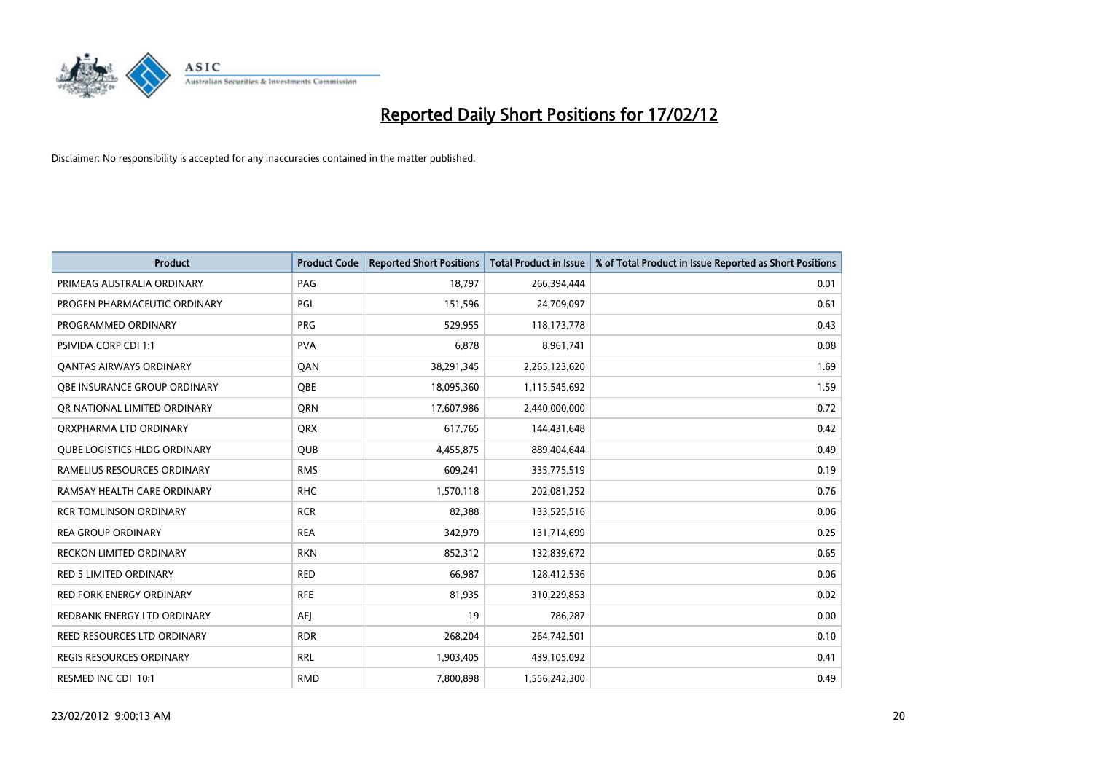

| <b>Product</b>                      | <b>Product Code</b> | <b>Reported Short Positions</b> | <b>Total Product in Issue</b> | % of Total Product in Issue Reported as Short Positions |
|-------------------------------------|---------------------|---------------------------------|-------------------------------|---------------------------------------------------------|
| PRIMEAG AUSTRALIA ORDINARY          | PAG                 | 18,797                          | 266,394,444                   | 0.01                                                    |
| PROGEN PHARMACEUTIC ORDINARY        | <b>PGL</b>          | 151,596                         | 24,709,097                    | 0.61                                                    |
| PROGRAMMED ORDINARY                 | <b>PRG</b>          | 529,955                         | 118,173,778                   | 0.43                                                    |
| PSIVIDA CORP CDI 1:1                | <b>PVA</b>          | 6,878                           | 8,961,741                     | 0.08                                                    |
| <b>QANTAS AIRWAYS ORDINARY</b>      | QAN                 | 38,291,345                      | 2,265,123,620                 | 1.69                                                    |
| OBE INSURANCE GROUP ORDINARY        | <b>OBE</b>          | 18,095,360                      | 1,115,545,692                 | 1.59                                                    |
| OR NATIONAL LIMITED ORDINARY        | <b>ORN</b>          | 17,607,986                      | 2,440,000,000                 | 0.72                                                    |
| ORXPHARMA LTD ORDINARY              | <b>QRX</b>          | 617,765                         | 144,431,648                   | 0.42                                                    |
| <b>QUBE LOGISTICS HLDG ORDINARY</b> | <b>QUB</b>          | 4,455,875                       | 889,404,644                   | 0.49                                                    |
| RAMELIUS RESOURCES ORDINARY         | <b>RMS</b>          | 609,241                         | 335,775,519                   | 0.19                                                    |
| RAMSAY HEALTH CARE ORDINARY         | <b>RHC</b>          | 1,570,118                       | 202,081,252                   | 0.76                                                    |
| <b>RCR TOMLINSON ORDINARY</b>       | <b>RCR</b>          | 82,388                          | 133,525,516                   | 0.06                                                    |
| <b>REA GROUP ORDINARY</b>           | <b>REA</b>          | 342,979                         | 131,714,699                   | 0.25                                                    |
| <b>RECKON LIMITED ORDINARY</b>      | <b>RKN</b>          | 852,312                         | 132,839,672                   | 0.65                                                    |
| <b>RED 5 LIMITED ORDINARY</b>       | <b>RED</b>          | 66,987                          | 128,412,536                   | 0.06                                                    |
| <b>RED FORK ENERGY ORDINARY</b>     | <b>RFE</b>          | 81,935                          | 310,229,853                   | 0.02                                                    |
| REDBANK ENERGY LTD ORDINARY         | AEJ                 | 19                              | 786,287                       | 0.00                                                    |
| <b>REED RESOURCES LTD ORDINARY</b>  | <b>RDR</b>          | 268,204                         | 264,742,501                   | 0.10                                                    |
| <b>REGIS RESOURCES ORDINARY</b>     | <b>RRL</b>          | 1,903,405                       | 439,105,092                   | 0.41                                                    |
| RESMED INC CDI 10:1                 | <b>RMD</b>          | 7,800,898                       | 1,556,242,300                 | 0.49                                                    |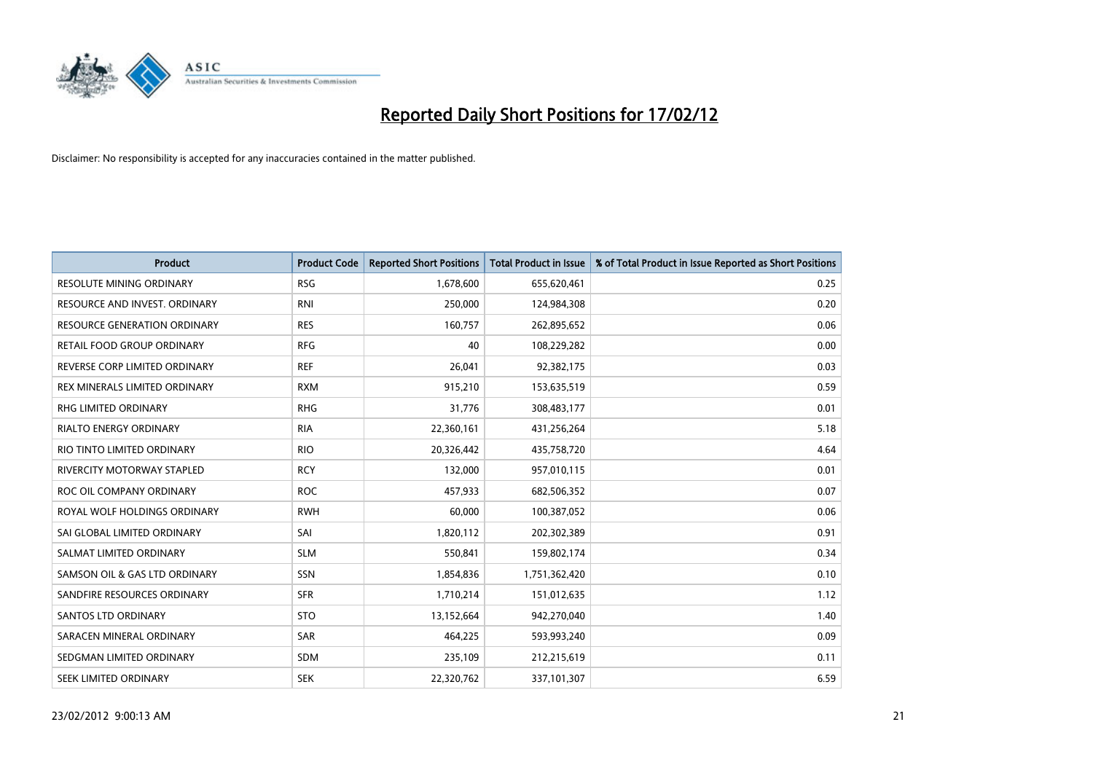

| <b>Product</b>                  | <b>Product Code</b> | <b>Reported Short Positions</b> | <b>Total Product in Issue</b> | % of Total Product in Issue Reported as Short Positions |
|---------------------------------|---------------------|---------------------------------|-------------------------------|---------------------------------------------------------|
| <b>RESOLUTE MINING ORDINARY</b> | <b>RSG</b>          | 1,678,600                       | 655,620,461                   | 0.25                                                    |
| RESOURCE AND INVEST. ORDINARY   | <b>RNI</b>          | 250,000                         | 124,984,308                   | 0.20                                                    |
| RESOURCE GENERATION ORDINARY    | <b>RES</b>          | 160,757                         | 262,895,652                   | 0.06                                                    |
| RETAIL FOOD GROUP ORDINARY      | <b>RFG</b>          | 40                              | 108,229,282                   | 0.00                                                    |
| REVERSE CORP LIMITED ORDINARY   | <b>REF</b>          | 26,041                          | 92,382,175                    | 0.03                                                    |
| REX MINERALS LIMITED ORDINARY   | <b>RXM</b>          | 915,210                         | 153,635,519                   | 0.59                                                    |
| RHG LIMITED ORDINARY            | <b>RHG</b>          | 31,776                          | 308,483,177                   | 0.01                                                    |
| <b>RIALTO ENERGY ORDINARY</b>   | <b>RIA</b>          | 22,360,161                      | 431,256,264                   | 5.18                                                    |
| RIO TINTO LIMITED ORDINARY      | <b>RIO</b>          | 20,326,442                      | 435,758,720                   | 4.64                                                    |
| RIVERCITY MOTORWAY STAPLED      | <b>RCY</b>          | 132,000                         | 957,010,115                   | 0.01                                                    |
| ROC OIL COMPANY ORDINARY        | <b>ROC</b>          | 457,933                         | 682,506,352                   | 0.07                                                    |
| ROYAL WOLF HOLDINGS ORDINARY    | <b>RWH</b>          | 60,000                          | 100,387,052                   | 0.06                                                    |
| SAI GLOBAL LIMITED ORDINARY     | SAI                 | 1,820,112                       | 202,302,389                   | 0.91                                                    |
| SALMAT LIMITED ORDINARY         | <b>SLM</b>          | 550,841                         | 159,802,174                   | 0.34                                                    |
| SAMSON OIL & GAS LTD ORDINARY   | SSN                 | 1,854,836                       | 1,751,362,420                 | 0.10                                                    |
| SANDFIRE RESOURCES ORDINARY     | <b>SFR</b>          | 1,710,214                       | 151,012,635                   | 1.12                                                    |
| <b>SANTOS LTD ORDINARY</b>      | <b>STO</b>          | 13,152,664                      | 942,270,040                   | 1.40                                                    |
| SARACEN MINERAL ORDINARY        | SAR                 | 464,225                         | 593,993,240                   | 0.09                                                    |
| SEDGMAN LIMITED ORDINARY        | <b>SDM</b>          | 235,109                         | 212,215,619                   | 0.11                                                    |
| SEEK LIMITED ORDINARY           | <b>SEK</b>          | 22,320,762                      | 337,101,307                   | 6.59                                                    |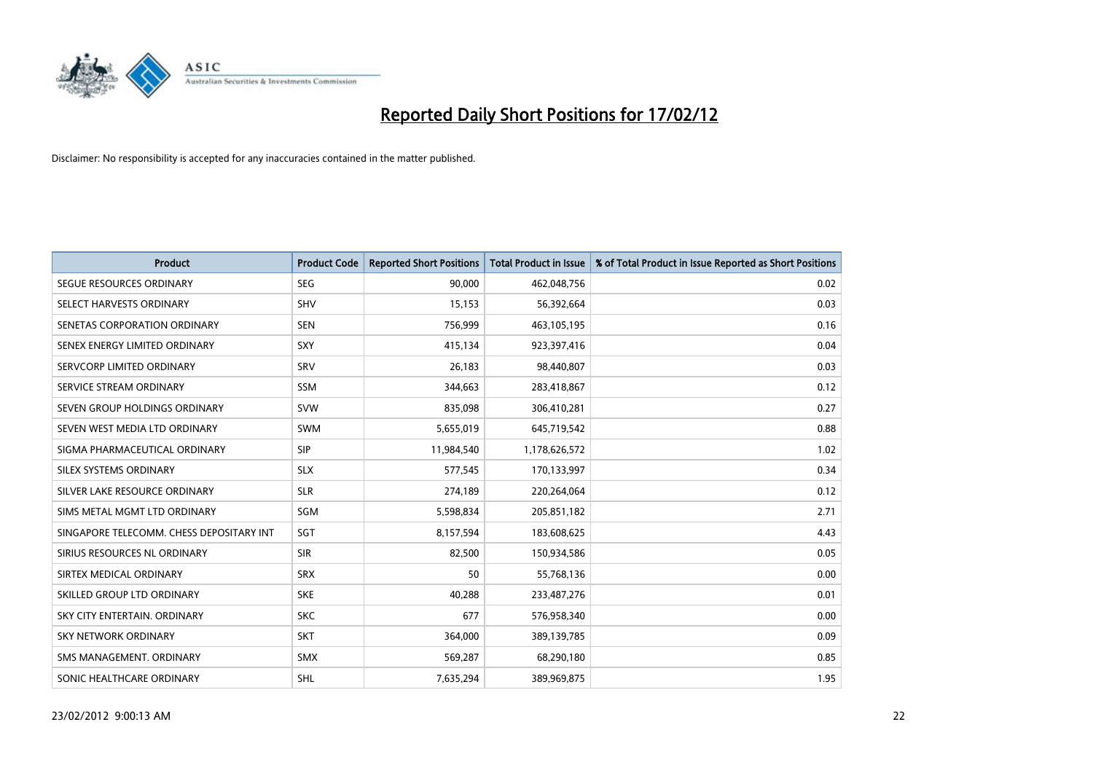

| <b>Product</b>                           | <b>Product Code</b> | <b>Reported Short Positions</b> | <b>Total Product in Issue</b> | % of Total Product in Issue Reported as Short Positions |
|------------------------------------------|---------------------|---------------------------------|-------------------------------|---------------------------------------------------------|
| SEGUE RESOURCES ORDINARY                 | <b>SEG</b>          | 90,000                          | 462,048,756                   | 0.02                                                    |
| SELECT HARVESTS ORDINARY                 | <b>SHV</b>          | 15,153                          | 56,392,664                    | 0.03                                                    |
| SENETAS CORPORATION ORDINARY             | <b>SEN</b>          | 756,999                         | 463,105,195                   | 0.16                                                    |
| SENEX ENERGY LIMITED ORDINARY            | SXY                 | 415,134                         | 923,397,416                   | 0.04                                                    |
| SERVCORP LIMITED ORDINARY                | SRV                 | 26,183                          | 98,440,807                    | 0.03                                                    |
| SERVICE STREAM ORDINARY                  | SSM                 | 344,663                         | 283,418,867                   | 0.12                                                    |
| SEVEN GROUP HOLDINGS ORDINARY            | <b>SVW</b>          | 835,098                         | 306,410,281                   | 0.27                                                    |
| SEVEN WEST MEDIA LTD ORDINARY            | SWM                 | 5,655,019                       | 645,719,542                   | 0.88                                                    |
| SIGMA PHARMACEUTICAL ORDINARY            | <b>SIP</b>          | 11,984,540                      | 1,178,626,572                 | 1.02                                                    |
| SILEX SYSTEMS ORDINARY                   | <b>SLX</b>          | 577,545                         | 170,133,997                   | 0.34                                                    |
| SILVER LAKE RESOURCE ORDINARY            | <b>SLR</b>          | 274,189                         | 220,264,064                   | 0.12                                                    |
| SIMS METAL MGMT LTD ORDINARY             | SGM                 | 5,598,834                       | 205,851,182                   | 2.71                                                    |
| SINGAPORE TELECOMM. CHESS DEPOSITARY INT | SGT                 | 8,157,594                       | 183,608,625                   | 4.43                                                    |
| SIRIUS RESOURCES NL ORDINARY             | <b>SIR</b>          | 82,500                          | 150,934,586                   | 0.05                                                    |
| SIRTEX MEDICAL ORDINARY                  | <b>SRX</b>          | 50                              | 55,768,136                    | 0.00                                                    |
| SKILLED GROUP LTD ORDINARY               | <b>SKE</b>          | 40,288                          | 233,487,276                   | 0.01                                                    |
| SKY CITY ENTERTAIN. ORDINARY             | <b>SKC</b>          | 677                             | 576,958,340                   | 0.00                                                    |
| <b>SKY NETWORK ORDINARY</b>              | <b>SKT</b>          | 364,000                         | 389,139,785                   | 0.09                                                    |
| SMS MANAGEMENT, ORDINARY                 | <b>SMX</b>          | 569,287                         | 68,290,180                    | 0.85                                                    |
| SONIC HEALTHCARE ORDINARY                | SHL                 | 7,635,294                       | 389,969,875                   | 1.95                                                    |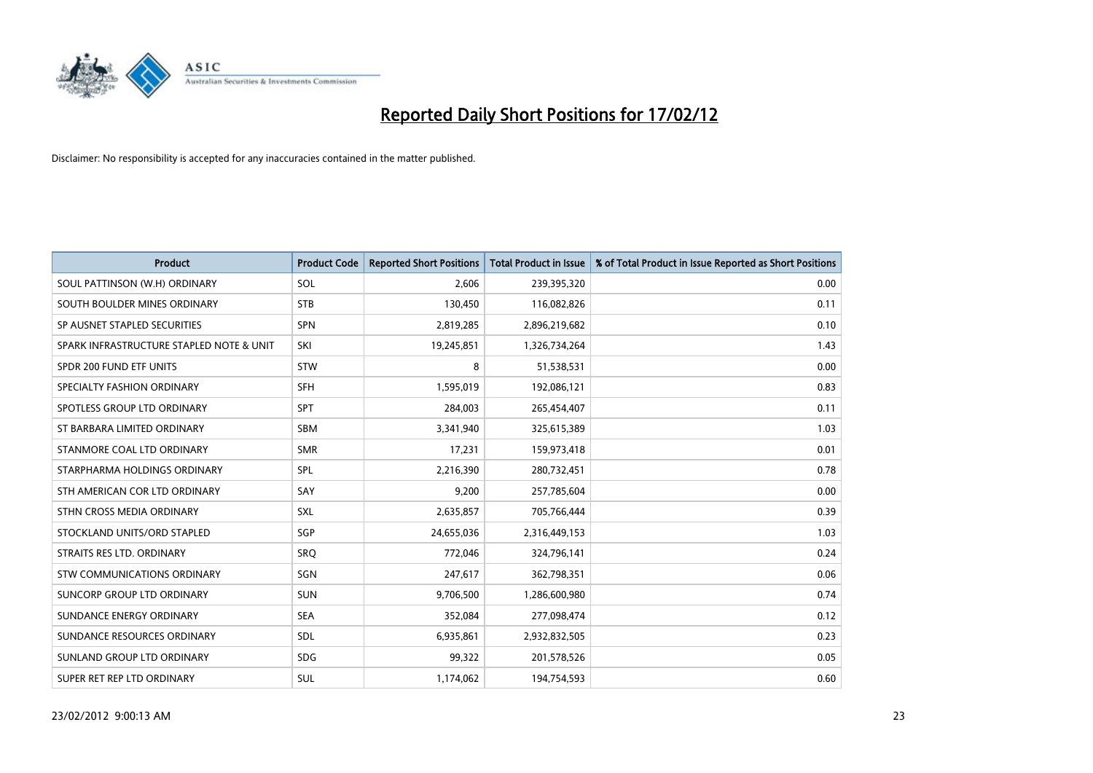

| <b>Product</b>                           | <b>Product Code</b> | <b>Reported Short Positions</b> | <b>Total Product in Issue</b> | % of Total Product in Issue Reported as Short Positions |
|------------------------------------------|---------------------|---------------------------------|-------------------------------|---------------------------------------------------------|
| SOUL PATTINSON (W.H) ORDINARY            | SOL                 | 2,606                           | 239,395,320                   | 0.00                                                    |
| SOUTH BOULDER MINES ORDINARY             | <b>STB</b>          | 130,450                         | 116,082,826                   | 0.11                                                    |
| SP AUSNET STAPLED SECURITIES             | SPN                 | 2,819,285                       | 2,896,219,682                 | 0.10                                                    |
| SPARK INFRASTRUCTURE STAPLED NOTE & UNIT | SKI                 | 19,245,851                      | 1,326,734,264                 | 1.43                                                    |
| SPDR 200 FUND ETF UNITS                  | <b>STW</b>          | 8                               | 51,538,531                    | 0.00                                                    |
| SPECIALTY FASHION ORDINARY               | <b>SFH</b>          | 1,595,019                       | 192,086,121                   | 0.83                                                    |
| SPOTLESS GROUP LTD ORDINARY              | <b>SPT</b>          | 284,003                         | 265,454,407                   | 0.11                                                    |
| ST BARBARA LIMITED ORDINARY              | <b>SBM</b>          | 3,341,940                       | 325,615,389                   | 1.03                                                    |
| STANMORE COAL LTD ORDINARY               | <b>SMR</b>          | 17,231                          | 159,973,418                   | 0.01                                                    |
| STARPHARMA HOLDINGS ORDINARY             | <b>SPL</b>          | 2,216,390                       | 280,732,451                   | 0.78                                                    |
| STH AMERICAN COR LTD ORDINARY            | SAY                 | 9,200                           | 257,785,604                   | 0.00                                                    |
| STHN CROSS MEDIA ORDINARY                | <b>SXL</b>          | 2,635,857                       | 705,766,444                   | 0.39                                                    |
| STOCKLAND UNITS/ORD STAPLED              | SGP                 | 24,655,036                      | 2,316,449,153                 | 1.03                                                    |
| STRAITS RES LTD. ORDINARY                | SRO                 | 772,046                         | 324,796,141                   | 0.24                                                    |
| STW COMMUNICATIONS ORDINARY              | SGN                 | 247,617                         | 362,798,351                   | 0.06                                                    |
| SUNCORP GROUP LTD ORDINARY               | <b>SUN</b>          | 9,706,500                       | 1,286,600,980                 | 0.74                                                    |
| SUNDANCE ENERGY ORDINARY                 | <b>SEA</b>          | 352,084                         | 277,098,474                   | 0.12                                                    |
| SUNDANCE RESOURCES ORDINARY              | <b>SDL</b>          | 6,935,861                       | 2,932,832,505                 | 0.23                                                    |
| SUNLAND GROUP LTD ORDINARY               | <b>SDG</b>          | 99,322                          | 201,578,526                   | 0.05                                                    |
| SUPER RET REP LTD ORDINARY               | SUL                 | 1,174,062                       | 194,754,593                   | 0.60                                                    |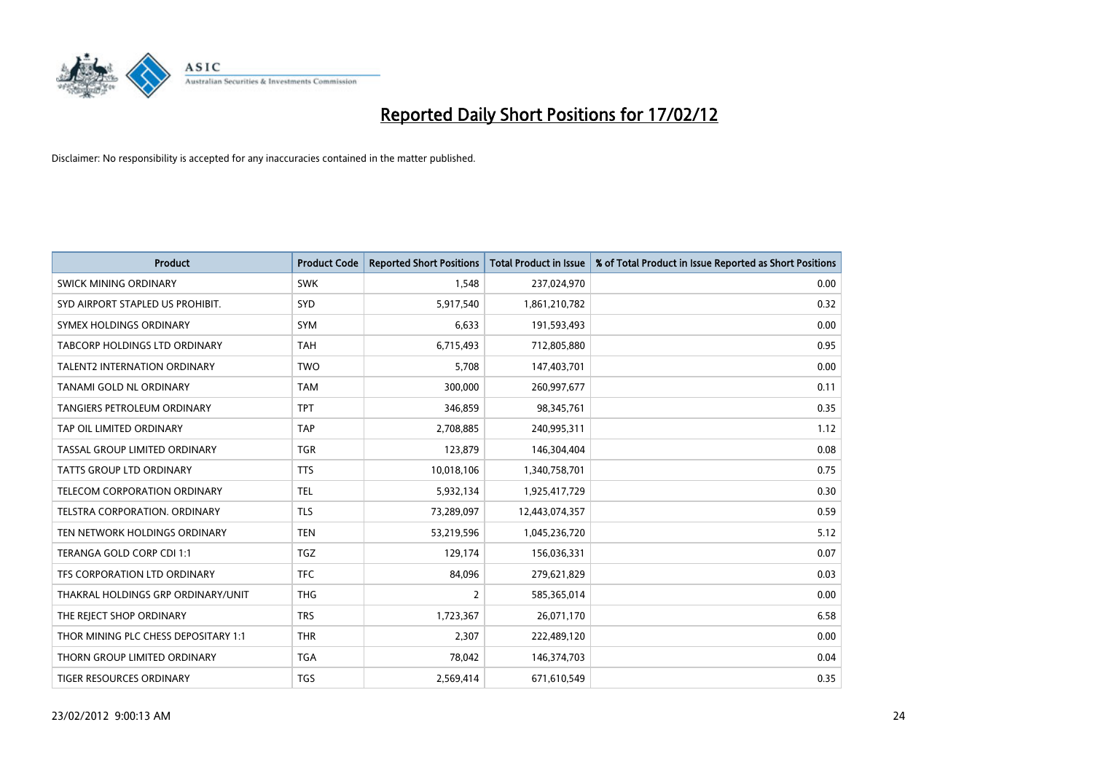

| <b>Product</b>                       | <b>Product Code</b> | <b>Reported Short Positions</b> | <b>Total Product in Issue</b> | % of Total Product in Issue Reported as Short Positions |
|--------------------------------------|---------------------|---------------------------------|-------------------------------|---------------------------------------------------------|
| <b>SWICK MINING ORDINARY</b>         | <b>SWK</b>          | 1,548                           | 237,024,970                   | 0.00                                                    |
| SYD AIRPORT STAPLED US PROHIBIT.     | <b>SYD</b>          | 5,917,540                       | 1,861,210,782                 | 0.32                                                    |
| SYMEX HOLDINGS ORDINARY              | <b>SYM</b>          | 6,633                           | 191,593,493                   | 0.00                                                    |
| TABCORP HOLDINGS LTD ORDINARY        | <b>TAH</b>          | 6,715,493                       | 712,805,880                   | 0.95                                                    |
| <b>TALENT2 INTERNATION ORDINARY</b>  | <b>TWO</b>          | 5,708                           | 147,403,701                   | 0.00                                                    |
| TANAMI GOLD NL ORDINARY              | <b>TAM</b>          | 300,000                         | 260,997,677                   | 0.11                                                    |
| <b>TANGIERS PETROLEUM ORDINARY</b>   | <b>TPT</b>          | 346,859                         | 98,345,761                    | 0.35                                                    |
| TAP OIL LIMITED ORDINARY             | <b>TAP</b>          | 2,708,885                       | 240,995,311                   | 1.12                                                    |
| TASSAL GROUP LIMITED ORDINARY        | <b>TGR</b>          | 123,879                         | 146,304,404                   | 0.08                                                    |
| <b>TATTS GROUP LTD ORDINARY</b>      | <b>TTS</b>          | 10,018,106                      | 1,340,758,701                 | 0.75                                                    |
| TELECOM CORPORATION ORDINARY         | <b>TEL</b>          | 5,932,134                       | 1,925,417,729                 | 0.30                                                    |
| <b>TELSTRA CORPORATION, ORDINARY</b> | <b>TLS</b>          | 73,289,097                      | 12,443,074,357                | 0.59                                                    |
| TEN NETWORK HOLDINGS ORDINARY        | <b>TEN</b>          | 53,219,596                      | 1,045,236,720                 | 5.12                                                    |
| TERANGA GOLD CORP CDI 1:1            | TGZ                 | 129,174                         | 156,036,331                   | 0.07                                                    |
| TFS CORPORATION LTD ORDINARY         | <b>TFC</b>          | 84,096                          | 279,621,829                   | 0.03                                                    |
| THAKRAL HOLDINGS GRP ORDINARY/UNIT   | <b>THG</b>          | $\overline{2}$                  | 585,365,014                   | 0.00                                                    |
| THE REJECT SHOP ORDINARY             | <b>TRS</b>          | 1,723,367                       | 26,071,170                    | 6.58                                                    |
| THOR MINING PLC CHESS DEPOSITARY 1:1 | <b>THR</b>          | 2,307                           | 222,489,120                   | 0.00                                                    |
| THORN GROUP LIMITED ORDINARY         | <b>TGA</b>          | 78,042                          | 146,374,703                   | 0.04                                                    |
| TIGER RESOURCES ORDINARY             | <b>TGS</b>          | 2,569,414                       | 671,610,549                   | 0.35                                                    |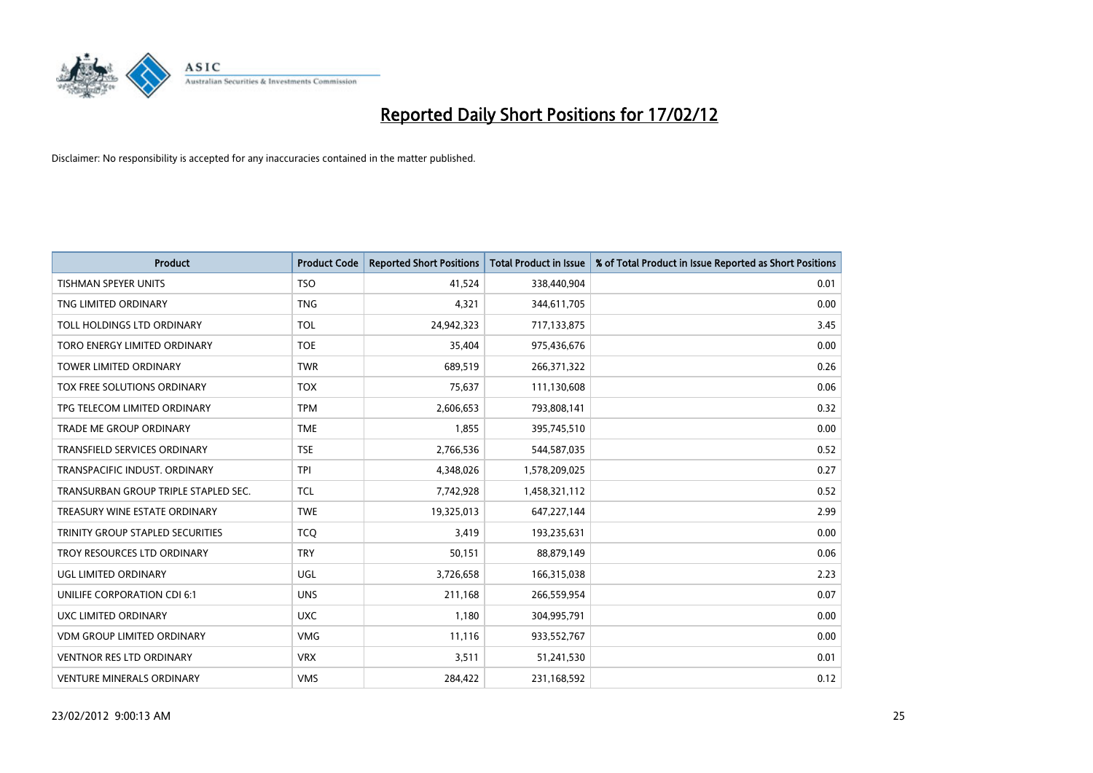

| <b>Product</b>                       | <b>Product Code</b> | <b>Reported Short Positions</b> | <b>Total Product in Issue</b> | % of Total Product in Issue Reported as Short Positions |
|--------------------------------------|---------------------|---------------------------------|-------------------------------|---------------------------------------------------------|
| <b>TISHMAN SPEYER UNITS</b>          | <b>TSO</b>          | 41,524                          | 338,440,904                   | 0.01                                                    |
| TNG LIMITED ORDINARY                 | <b>TNG</b>          | 4,321                           | 344,611,705                   | 0.00                                                    |
| TOLL HOLDINGS LTD ORDINARY           | <b>TOL</b>          | 24,942,323                      | 717,133,875                   | 3.45                                                    |
| TORO ENERGY LIMITED ORDINARY         | <b>TOE</b>          | 35,404                          | 975,436,676                   | 0.00                                                    |
| <b>TOWER LIMITED ORDINARY</b>        | <b>TWR</b>          | 689,519                         | 266,371,322                   | 0.26                                                    |
| <b>TOX FREE SOLUTIONS ORDINARY</b>   | <b>TOX</b>          | 75,637                          | 111,130,608                   | 0.06                                                    |
| TPG TELECOM LIMITED ORDINARY         | <b>TPM</b>          | 2,606,653                       | 793,808,141                   | 0.32                                                    |
| TRADE ME GROUP ORDINARY              | <b>TME</b>          | 1,855                           | 395,745,510                   | 0.00                                                    |
| <b>TRANSFIELD SERVICES ORDINARY</b>  | <b>TSE</b>          | 2,766,536                       | 544,587,035                   | 0.52                                                    |
| TRANSPACIFIC INDUST, ORDINARY        | <b>TPI</b>          | 4,348,026                       | 1,578,209,025                 | 0.27                                                    |
| TRANSURBAN GROUP TRIPLE STAPLED SEC. | TCL                 | 7,742,928                       | 1,458,321,112                 | 0.52                                                    |
| TREASURY WINE ESTATE ORDINARY        | <b>TWE</b>          | 19,325,013                      | 647,227,144                   | 2.99                                                    |
| TRINITY GROUP STAPLED SECURITIES     | <b>TCQ</b>          | 3,419                           | 193,235,631                   | 0.00                                                    |
| TROY RESOURCES LTD ORDINARY          | <b>TRY</b>          | 50,151                          | 88,879,149                    | 0.06                                                    |
| UGL LIMITED ORDINARY                 | UGL                 | 3,726,658                       | 166,315,038                   | 2.23                                                    |
| UNILIFE CORPORATION CDI 6:1          | <b>UNS</b>          | 211,168                         | 266,559,954                   | 0.07                                                    |
| <b>UXC LIMITED ORDINARY</b>          | <b>UXC</b>          | 1,180                           | 304,995,791                   | 0.00                                                    |
| <b>VDM GROUP LIMITED ORDINARY</b>    | <b>VMG</b>          | 11,116                          | 933,552,767                   | 0.00                                                    |
| <b>VENTNOR RES LTD ORDINARY</b>      | <b>VRX</b>          | 3,511                           | 51,241,530                    | 0.01                                                    |
| <b>VENTURE MINERALS ORDINARY</b>     | <b>VMS</b>          | 284,422                         | 231,168,592                   | 0.12                                                    |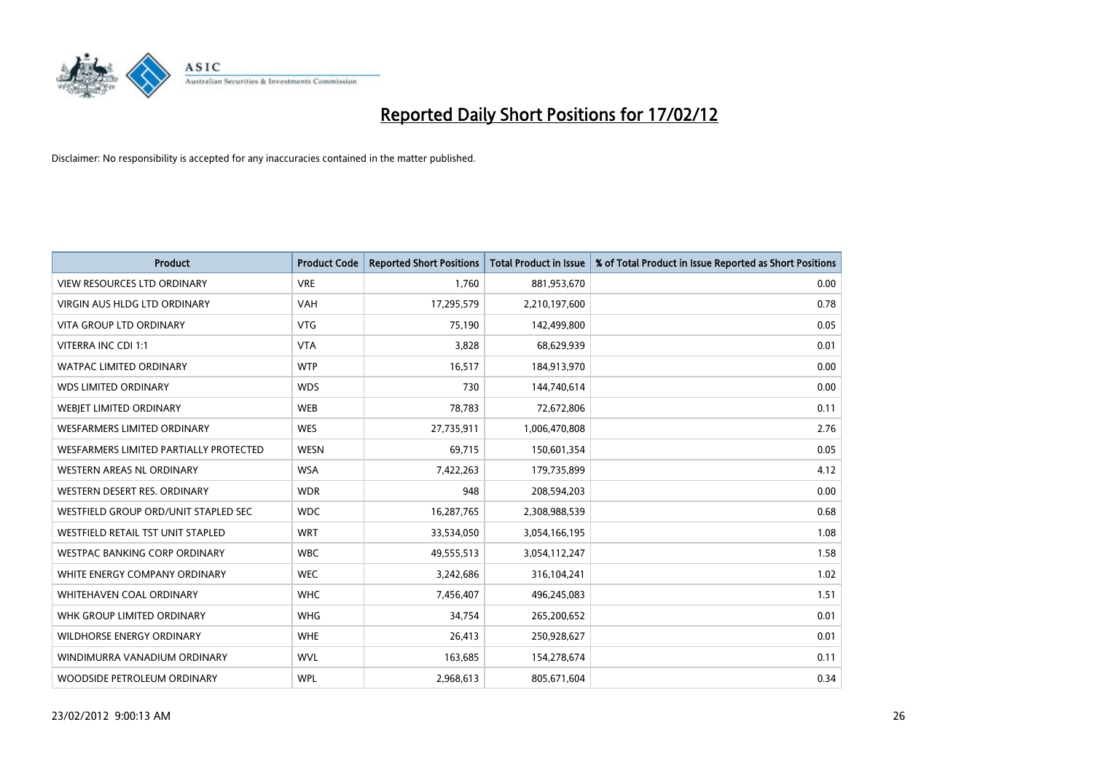

| <b>Product</b>                         | <b>Product Code</b> | <b>Reported Short Positions</b> | <b>Total Product in Issue</b> | % of Total Product in Issue Reported as Short Positions |
|----------------------------------------|---------------------|---------------------------------|-------------------------------|---------------------------------------------------------|
| <b>VIEW RESOURCES LTD ORDINARY</b>     | <b>VRE</b>          | 1,760                           | 881,953,670                   | 0.00                                                    |
| VIRGIN AUS HLDG LTD ORDINARY           | <b>VAH</b>          | 17,295,579                      | 2,210,197,600                 | 0.78                                                    |
| <b>VITA GROUP LTD ORDINARY</b>         | <b>VTG</b>          | 75,190                          | 142,499,800                   | 0.05                                                    |
| VITERRA INC CDI 1:1                    | <b>VTA</b>          | 3,828                           | 68,629,939                    | 0.01                                                    |
| <b>WATPAC LIMITED ORDINARY</b>         | <b>WTP</b>          | 16,517                          | 184,913,970                   | 0.00                                                    |
| <b>WDS LIMITED ORDINARY</b>            | <b>WDS</b>          | 730                             | 144,740,614                   | 0.00                                                    |
| WEBIET LIMITED ORDINARY                | <b>WEB</b>          | 78,783                          | 72,672,806                    | 0.11                                                    |
| <b>WESFARMERS LIMITED ORDINARY</b>     | <b>WES</b>          | 27,735,911                      | 1,006,470,808                 | 2.76                                                    |
| WESFARMERS LIMITED PARTIALLY PROTECTED | <b>WESN</b>         | 69,715                          | 150,601,354                   | 0.05                                                    |
| <b>WESTERN AREAS NL ORDINARY</b>       | <b>WSA</b>          | 7,422,263                       | 179,735,899                   | 4.12                                                    |
| WESTERN DESERT RES. ORDINARY           | <b>WDR</b>          | 948                             | 208,594,203                   | 0.00                                                    |
| WESTFIELD GROUP ORD/UNIT STAPLED SEC   | <b>WDC</b>          | 16,287,765                      | 2,308,988,539                 | 0.68                                                    |
| WESTFIELD RETAIL TST UNIT STAPLED      | <b>WRT</b>          | 33,534,050                      | 3,054,166,195                 | 1.08                                                    |
| <b>WESTPAC BANKING CORP ORDINARY</b>   | <b>WBC</b>          | 49,555,513                      | 3,054,112,247                 | 1.58                                                    |
| WHITE ENERGY COMPANY ORDINARY          | <b>WEC</b>          | 3,242,686                       | 316,104,241                   | 1.02                                                    |
| <b>WHITEHAVEN COAL ORDINARY</b>        | <b>WHC</b>          | 7,456,407                       | 496,245,083                   | 1.51                                                    |
| WHK GROUP LIMITED ORDINARY             | <b>WHG</b>          | 34,754                          | 265,200,652                   | 0.01                                                    |
| <b>WILDHORSE ENERGY ORDINARY</b>       | <b>WHE</b>          | 26,413                          | 250,928,627                   | 0.01                                                    |
| WINDIMURRA VANADIUM ORDINARY           | <b>WVL</b>          | 163,685                         | 154,278,674                   | 0.11                                                    |
| WOODSIDE PETROLEUM ORDINARY            | <b>WPL</b>          | 2,968,613                       | 805,671,604                   | 0.34                                                    |